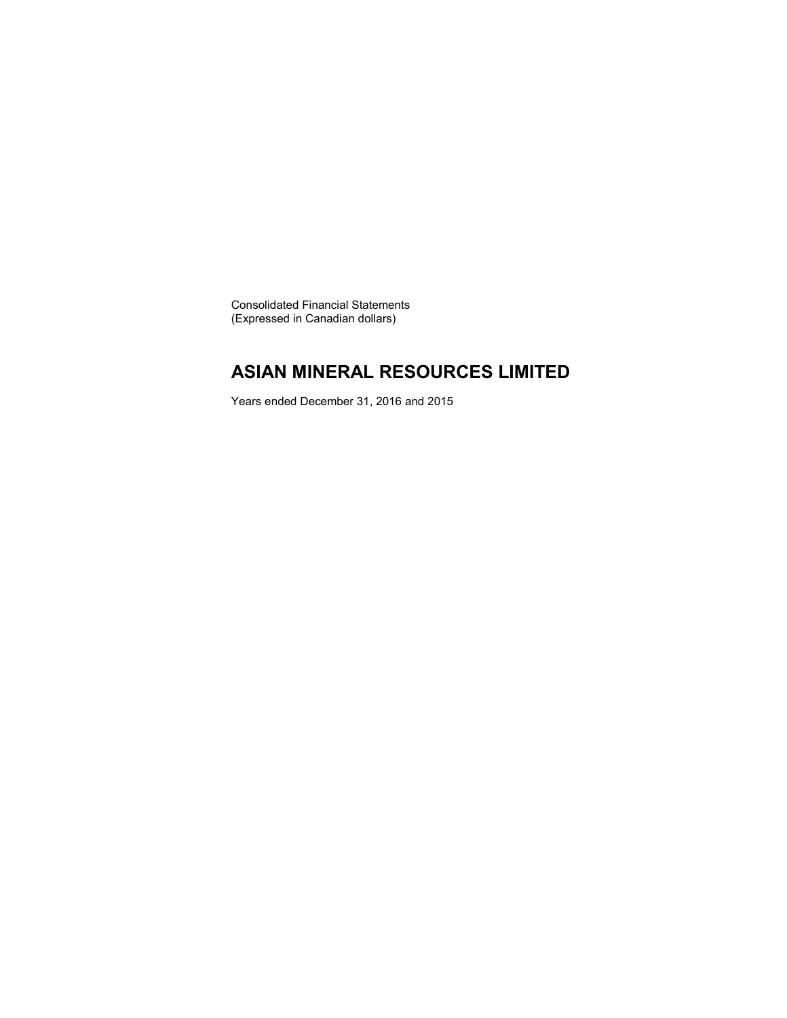Consolidated Financial Statements (Expressed in Canadian dollars)

# **ASIAN MINERAL RESOURCES LIMITED**

Years ended December 31, 2016 and 2015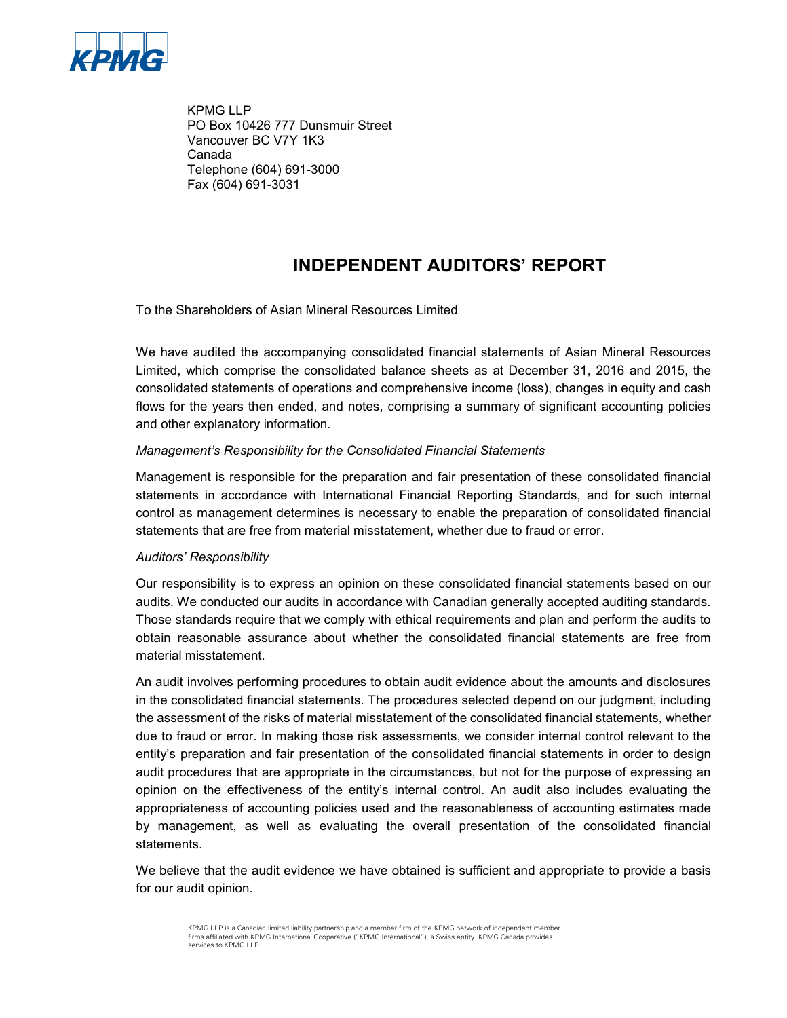

KPMG LLP PO Box 10426 777 Dunsmuir Street Vancouver BC V7Y 1K3 Canada Telephone (604) 691-3000 Fax (604) 691-3031

# **INDEPENDENT AUDITORS' REPORT**

To the Shareholders of Asian Mineral Resources Limited

We have audited the accompanying consolidated financial statements of Asian Mineral Resources Limited, which comprise the consolidated balance sheets as at December 31, 2016 and 2015, the consolidated statements of operations and comprehensive income (loss), changes in equity and cash flows for the years then ended, and notes, comprising a summary of significant accounting policies and other explanatory information.

### *Management's Responsibility for the Consolidated Financial Statements*

Management is responsible for the preparation and fair presentation of these consolidated financial statements in accordance with International Financial Reporting Standards, and for such internal control as management determines is necessary to enable the preparation of consolidated financial statements that are free from material misstatement, whether due to fraud or error.

### *Auditors' Responsibility*

Our responsibility is to express an opinion on these consolidated financial statements based on our audits. We conducted our audits in accordance with Canadian generally accepted auditing standards. Those standards require that we comply with ethical requirements and plan and perform the audits to obtain reasonable assurance about whether the consolidated financial statements are free from material misstatement.

An audit involves performing procedures to obtain audit evidence about the amounts and disclosures in the consolidated financial statements. The procedures selected depend on our judgment, including the assessment of the risks of material misstatement of the consolidated financial statements, whether due to fraud or error. In making those risk assessments, we consider internal control relevant to the entity's preparation and fair presentation of the consolidated financial statements in order to design audit procedures that are appropriate in the circumstances, but not for the purpose of expressing an opinion on the effectiveness of the entity's internal control. An audit also includes evaluating the appropriateness of accounting policies used and the reasonableness of accounting estimates made by management, as well as evaluating the overall presentation of the consolidated financial statements.

We believe that the audit evidence we have obtained is sufficient and appropriate to provide a basis for our audit opinion.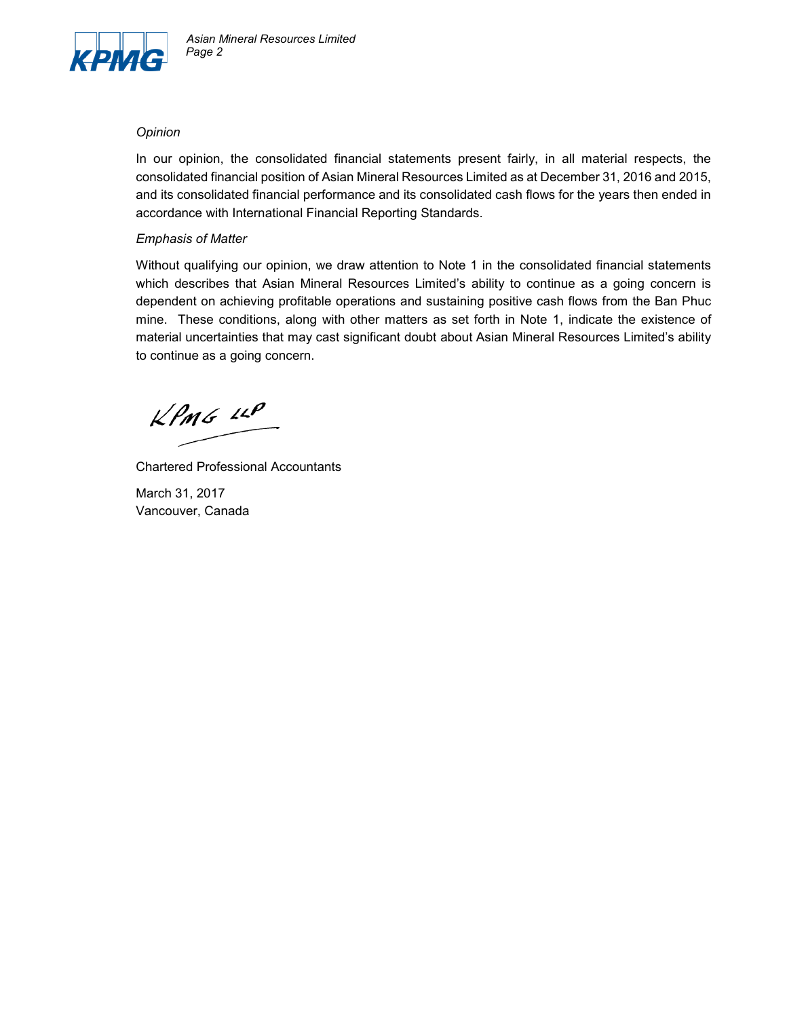

### *Opinion*

In our opinion, the consolidated financial statements present fairly, in all material respects, the consolidated financial position of Asian Mineral Resources Limited as at December 31, 2016 and 2015, and its consolidated financial performance and its consolidated cash flows for the years then ended in accordance with International Financial Reporting Standards.

## *Emphasis of Matter*

Without qualifying our opinion, we draw attention to Note 1 in the consolidated financial statements which describes that Asian Mineral Resources Limited's ability to continue as a going concern is dependent on achieving profitable operations and sustaining positive cash flows from the Ban Phuc mine. These conditions, along with other matters as set forth in Note 1, indicate the existence of material uncertainties that may cast significant doubt about Asian Mineral Resources Limited's ability to continue as a going concern.

 $kPm6$  11P

Chartered Professional Accountants

March 31, 2017 Vancouver, Canada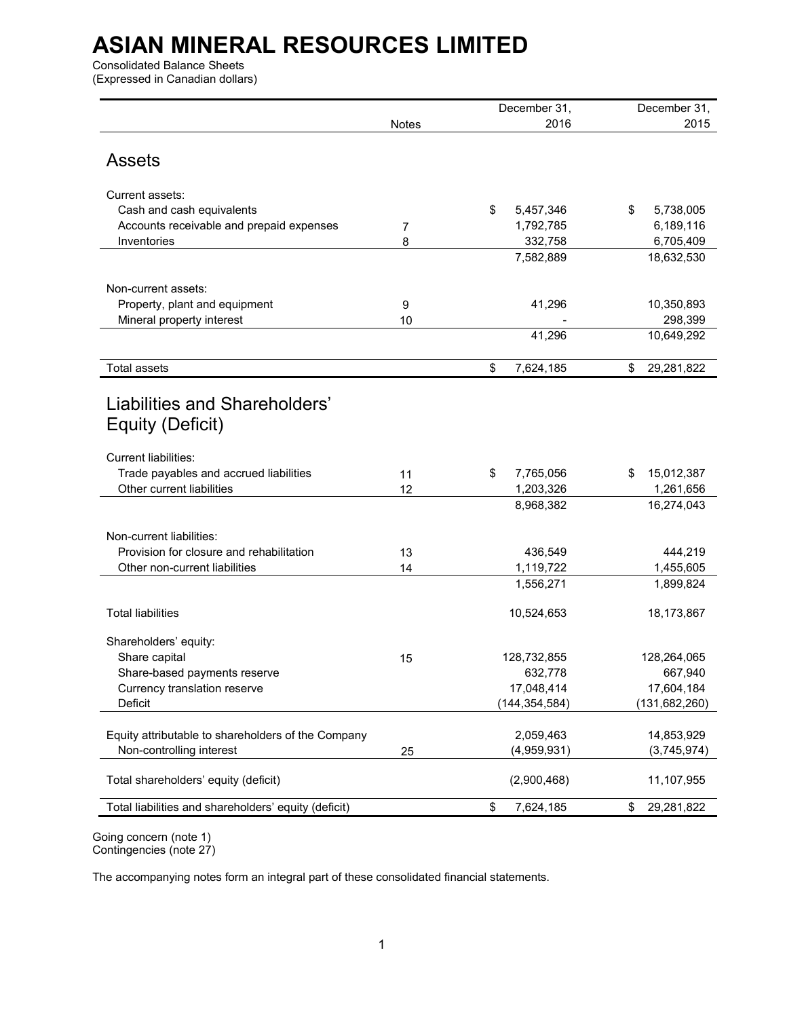Consolidated Balance Sheets (Expressed in Canadian dollars)

|                                                      |       | December 31,    | December 31,     |
|------------------------------------------------------|-------|-----------------|------------------|
|                                                      | Notes | 2016            | 2015             |
|                                                      |       |                 |                  |
| <b>Assets</b>                                        |       |                 |                  |
|                                                      |       |                 |                  |
| Current assets:                                      |       |                 |                  |
| Cash and cash equivalents                            |       | \$<br>5,457,346 | \$<br>5,738,005  |
| Accounts receivable and prepaid expenses             | 7     | 1,792,785       | 6,189,116        |
| Inventories                                          | 8     | 332,758         | 6,705,409        |
|                                                      |       | 7,582,889       | 18,632,530       |
|                                                      |       |                 |                  |
| Non-current assets:                                  |       |                 |                  |
| Property, plant and equipment                        | 9     | 41,296          | 10,350,893       |
| Mineral property interest                            | 10    |                 | 298,399          |
|                                                      |       | 41,296          | 10,649,292       |
|                                                      |       |                 |                  |
| <b>Total assets</b>                                  |       | \$<br>7,624,185 | \$<br>29,281,822 |
|                                                      |       |                 |                  |
| Liabilities and Shareholders'                        |       |                 |                  |
| Equity (Deficit)                                     |       |                 |                  |
|                                                      |       |                 |                  |
| Current liabilities:                                 |       |                 |                  |
| Trade payables and accrued liabilities               | 11    | 7,765,056<br>\$ | 15,012,387<br>\$ |
| Other current liabilities                            | 12    | 1,203,326       | 1,261,656        |
|                                                      |       | 8,968,382       | 16,274,043       |
|                                                      |       |                 |                  |
| Non-current liabilities:                             |       |                 |                  |
| Provision for closure and rehabilitation             | 13    | 436,549         | 444,219          |
| Other non-current liabilities                        | 14    | 1,119,722       | 1,455,605        |
|                                                      |       | 1,556,271       | 1,899,824        |
| <b>Total liabilities</b>                             |       | 10,524,653      | 18,173,867       |
|                                                      |       |                 |                  |
| Shareholders' equity:                                |       |                 |                  |
| Share capital                                        | 15    | 128,732,855     | 128,264,065      |
| Share-based payments reserve                         |       | 632.778         | 667,940          |
| Currency translation reserve                         |       | 17,048,414      | 17,604,184       |
| Deficit                                              |       | (144, 354, 584) | (131, 682, 260)  |
|                                                      |       |                 |                  |
| Equity attributable to shareholders of the Company   |       | 2,059,463       | 14,853,929       |
| Non-controlling interest                             | 25    | (4,959,931)     | (3,745,974)      |
|                                                      |       |                 |                  |
| Total shareholders' equity (deficit)                 |       | (2,900,468)     | 11,107,955       |
| Total liabilities and shareholders' equity (deficit) |       | \$<br>7,624,185 | 29,281,822<br>\$ |
|                                                      |       |                 |                  |

Going concern (note 1) Contingencies (note 27)

The accompanying notes form an integral part of these consolidated financial statements.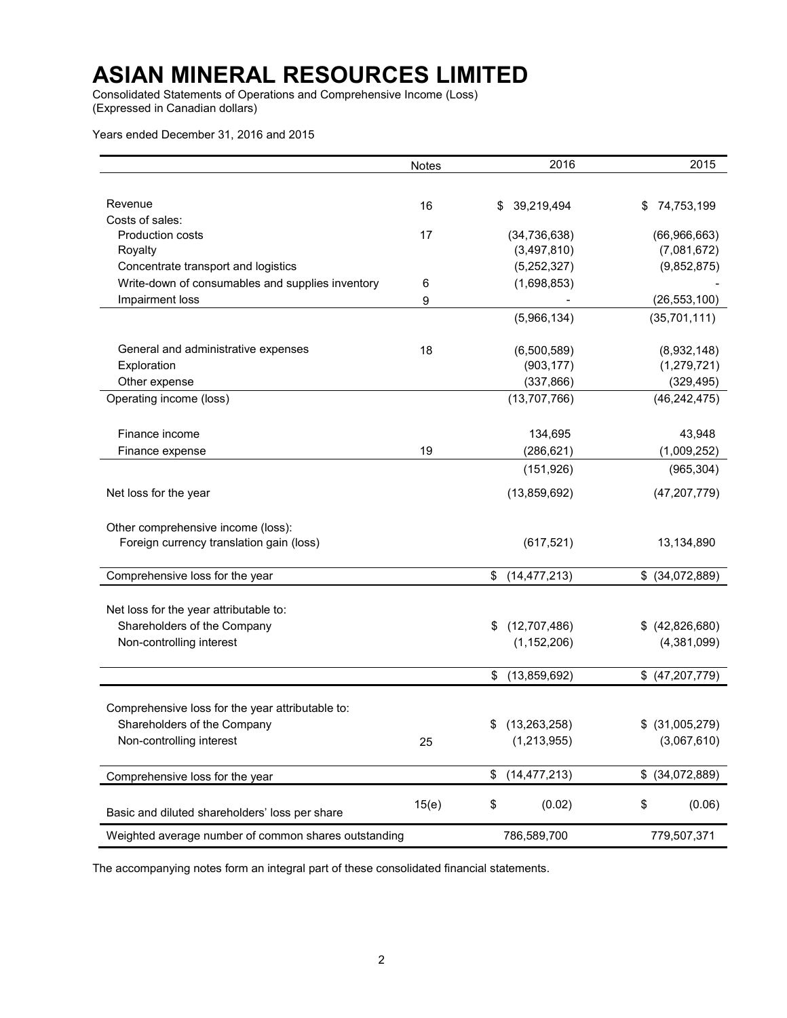Consolidated Statements of Operations and Comprehensive Income (Loss) (Expressed in Canadian dollars)

Years ended December 31, 2016 and 2015

|                                                      | Notes | 2016                 | 2015             |
|------------------------------------------------------|-------|----------------------|------------------|
|                                                      |       |                      |                  |
| Revenue                                              | 16    | \$<br>39,219,494     | \$<br>74,753,199 |
| Costs of sales:                                      |       |                      |                  |
| <b>Production costs</b>                              | 17    | (34, 736, 638)       | (66,966,663)     |
| Royalty                                              |       | (3,497,810)          | (7,081,672)      |
| Concentrate transport and logistics                  |       | (5, 252, 327)        | (9,852,875)      |
| Write-down of consumables and supplies inventory     | 6     | (1,698,853)          |                  |
| Impairment loss                                      | 9     |                      | (26, 553, 100)   |
|                                                      |       | (5,966,134)          | (35,701,111)     |
|                                                      |       |                      |                  |
| General and administrative expenses                  | 18    | (6,500,589)          | (8,932,148)      |
| Exploration                                          |       | (903, 177)           | (1, 279, 721)    |
| Other expense                                        |       | (337, 866)           | (329, 495)       |
| Operating income (loss)                              |       | (13,707,766)         | (46, 242, 475)   |
|                                                      |       |                      |                  |
| Finance income                                       |       | 134,695              | 43,948           |
| Finance expense                                      | 19    | (286, 621)           | (1,009,252)      |
|                                                      |       | (151, 926)           | (965, 304)       |
| Net loss for the year                                |       | (13,859,692)         | (47, 207, 779)   |
|                                                      |       |                      |                  |
| Other comprehensive income (loss):                   |       |                      |                  |
| Foreign currency translation gain (loss)             |       | (617, 521)           | 13,134,890       |
|                                                      |       |                      |                  |
| Comprehensive loss for the year                      |       | \$<br>(14, 477, 213) | $$$ (34,072,889) |
|                                                      |       |                      |                  |
| Net loss for the year attributable to:               |       |                      |                  |
| Shareholders of the Company                          |       | \$<br>(12,707,486)   | \$ (42,826,680)  |
| Non-controlling interest                             |       | (1, 152, 206)        | (4,381,099)      |
|                                                      |       |                      |                  |
|                                                      |       | \$<br>(13,859,692)   | \$ (47,207,779)  |
| Comprehensive loss for the year attributable to:     |       |                      |                  |
| Shareholders of the Company                          |       |                      | (31,005,279)     |
|                                                      |       | \$<br>(13, 263, 258) | \$               |
| Non-controlling interest                             | 25    | (1,213,955)          | (3,067,610)      |
| Comprehensive loss for the year                      |       | \$<br>(14, 477, 213) | $$$ (34,072,889) |
|                                                      |       |                      |                  |
| Basic and diluted shareholders' loss per share       | 15(e) | \$<br>(0.02)         | \$<br>(0.06)     |
| Weighted average number of common shares outstanding |       | 786,589,700          | 779,507,371      |

The accompanying notes form an integral part of these consolidated financial statements.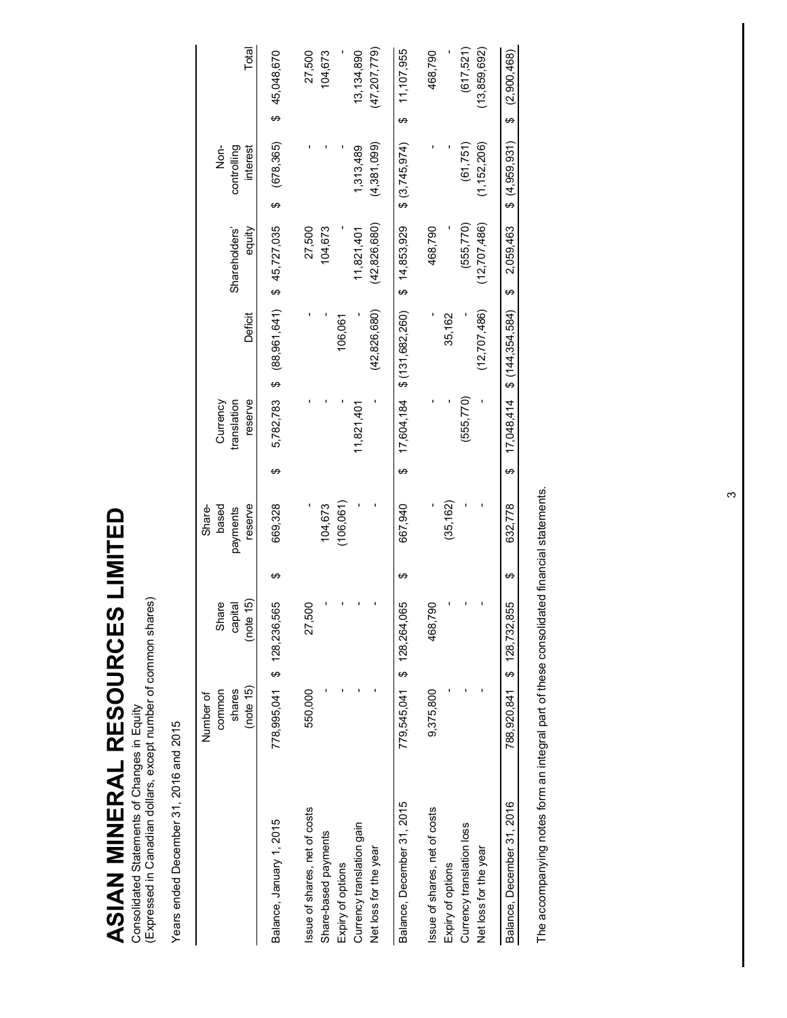ASIAN MINERAL RESOURCES LIMITED **ASIAN MINERAL RESOURCES LIMITED** Consolidated Statements of Changes in Equity

Consolidated Statements of Changes in Equity<br>(Expressed in Canadian dollars, except number of common shares) (Expressed in Canadian dollars, except number of common shares)

Years ended December 31, 2016 and 2015 Years ended December 31, 2016 and 2015

| (2,900,468)<br>↮ | \$(4,959,931)                            | 2,059,463<br>↔          | \$(144, 354, 584)                       | 17,048,414                         | ↔  | 632,778                      | ↔  | 788,920,841 \$ 128,732,855    |                               | Balance, December 31, 2016   |
|------------------|------------------------------------------|-------------------------|-----------------------------------------|------------------------------------|----|------------------------------|----|-------------------------------|-------------------------------|------------------------------|
| (13, 859, 692)   | (1, 152, 206)                            | (12, 707, 486)          | (12, 707, 486)                          |                                    |    |                              |    |                               |                               | Net loss for the year        |
| (617,521)        | (61,751)                                 | (555, 770)              |                                         | (555,770)                          |    |                              |    |                               |                               | Currency translation loss    |
|                  |                                          |                         | 35,162                                  |                                    |    | (35, 162)                    |    |                               |                               | Expiry of options            |
| 468,790          |                                          | 468,790                 |                                         |                                    |    |                              |    | 468,790                       | 9,375,800                     | ssue of shares, net of costs |
| 11,107,955<br>ക  | \$(3,745,974)                            | \$14,853,929            | \$(131,682,260)                         | 17,604,184                         | မာ | 667,940                      | မာ | 779,545,041 \$ 128,264,065    |                               | Balance, December 31, 2015   |
| (47, 207, 779)   | (4,381,099)                              | (42, 826, 680)          | (42, 826, 680)                          |                                    |    |                              |    |                               |                               | Net loss for the year        |
| 13,134,890       | 1,313,489                                | 11,821,401              |                                         | 11,821,401                         |    |                              |    |                               |                               | Currency translation gain    |
|                  |                                          |                         | 106,061                                 |                                    |    | (106, 061)                   |    |                               |                               | Expiry of options            |
| 104,673          |                                          | 104,673                 |                                         |                                    |    | 104,673                      |    |                               |                               | Share-based payments         |
| 27,500           |                                          | 27,500                  |                                         |                                    |    |                              |    | 27,500                        | 550,000                       | ssue of shares, net of costs |
| 45,048,670<br>↔  | (678, 365)<br>↔                          |                         | 5,782,783 \$ (88,961,641) \$ 45,727,035 |                                    | ഗ  | 669,328                      | မာ | 778,995,041 \$ 128,236,565    |                               | Balance, January 1, 2015     |
| Total            | $\frac{1}{2}$<br>controlling<br>interest | Shareholders'<br>equity | Deficit                                 | reserve<br>translation<br>Currency |    | reserve<br>based<br>payments |    | (note 15)<br>Share<br>capital | (note 15)<br>shares<br>common |                              |
|                  |                                          |                         |                                         |                                    |    | Share-                       |    |                               | Number of                     |                              |

The accompanying notes form an integral part of these consolidated financial statements. The accompanying notes form an integral part of these consolidated financial statements.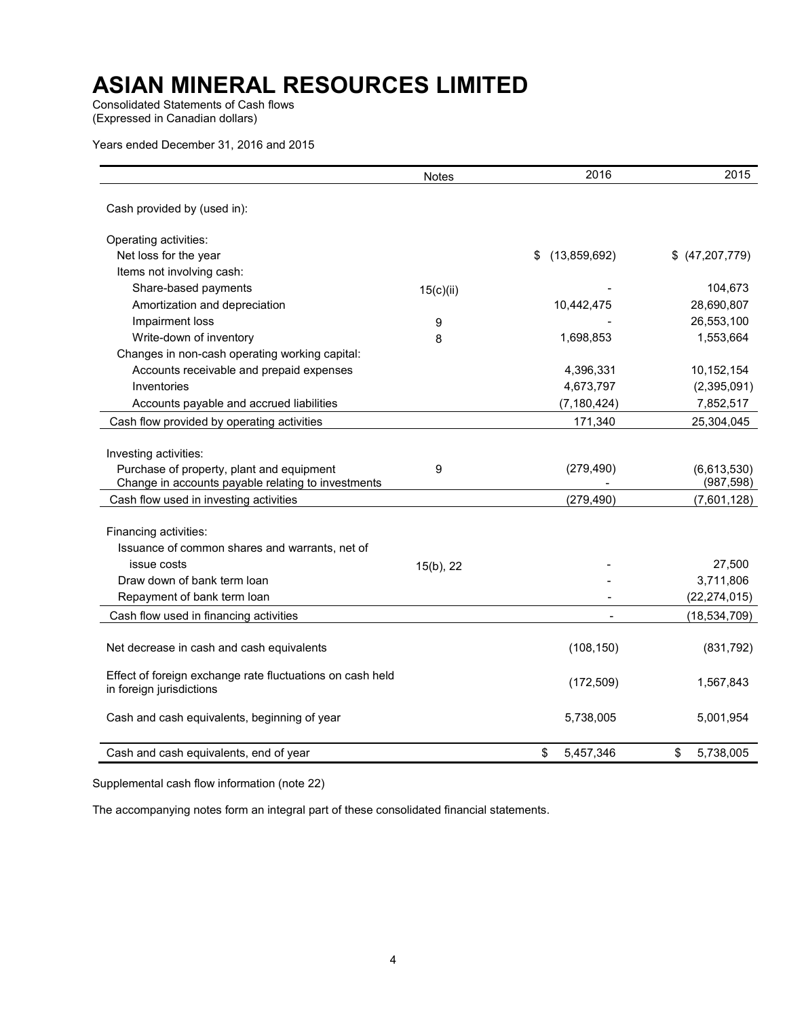Consolidated Statements of Cash flows (Expressed in Canadian dollars)

Years ended December 31, 2016 and 2015

|                                                                                                 | <b>Notes</b> | 2016               | 2015                      |
|-------------------------------------------------------------------------------------------------|--------------|--------------------|---------------------------|
| Cash provided by (used in):                                                                     |              |                    |                           |
| Operating activities:                                                                           |              |                    |                           |
| Net loss for the year                                                                           |              | (13,859,692)<br>\$ | (47, 207, 779)<br>\$      |
| Items not involving cash:                                                                       |              |                    |                           |
| Share-based payments                                                                            | 15(c)(ii)    |                    | 104,673                   |
| Amortization and depreciation                                                                   |              | 10,442,475         | 28,690,807                |
| Impairment loss                                                                                 | 9            |                    | 26,553,100                |
| Write-down of inventory                                                                         | 8            | 1,698,853          | 1,553,664                 |
| Changes in non-cash operating working capital:                                                  |              |                    |                           |
| Accounts receivable and prepaid expenses                                                        |              | 4,396,331          | 10,152,154                |
| Inventories                                                                                     |              | 4,673,797          | (2,395,091)               |
| Accounts payable and accrued liabilities                                                        |              | (7, 180, 424)      | 7,852,517                 |
| Cash flow provided by operating activities                                                      |              | 171,340            | 25,304,045                |
|                                                                                                 |              |                    |                           |
| Investing activities:                                                                           |              |                    |                           |
| Purchase of property, plant and equipment<br>Change in accounts payable relating to investments | 9            | (279, 490)         | (6,613,530)<br>(987, 598) |
| Cash flow used in investing activities                                                          |              | (279, 490)         | (7,601,128)               |
|                                                                                                 |              |                    |                           |
| Financing activities:                                                                           |              |                    |                           |
| Issuance of common shares and warrants, net of                                                  |              |                    |                           |
| issue costs                                                                                     | $15(b)$ , 22 |                    | 27,500                    |
| Draw down of bank term loan                                                                     |              |                    | 3,711,806                 |
| Repayment of bank term loan                                                                     |              |                    | (22, 274, 015)            |
| Cash flow used in financing activities                                                          |              |                    | (18,534,709)              |
| Net decrease in cash and cash equivalents                                                       |              | (108, 150)         | (831, 792)                |
| Effect of foreign exchange rate fluctuations on cash held<br>in foreign jurisdictions           |              | (172, 509)         | 1,567,843                 |
| Cash and cash equivalents, beginning of year                                                    |              | 5,738,005          | 5,001,954                 |
| Cash and cash equivalents, end of year                                                          |              | \$<br>5,457,346    | \$<br>5,738,005           |

Supplemental cash flow information (note 22)

The accompanying notes form an integral part of these consolidated financial statements.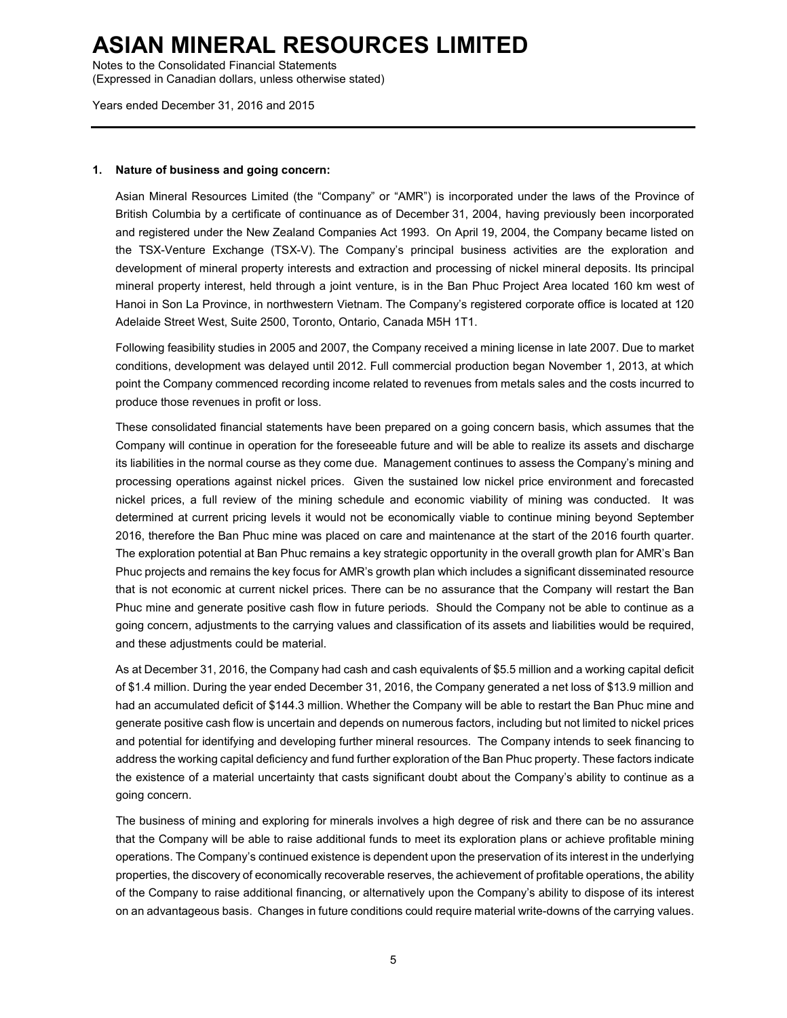Notes to the Consolidated Financial Statements (Expressed in Canadian dollars, unless otherwise stated)

Years ended December 31, 2016 and 2015

#### **1. Nature of business and going concern:**

Asian Mineral Resources Limited (the "Company" or "AMR") is incorporated under the laws of the Province of British Columbia by a certificate of continuance as of December 31, 2004, having previously been incorporated and registered under the New Zealand Companies Act 1993. On April 19, 2004, the Company became listed on the TSX-Venture Exchange (TSX-V). The Company's principal business activities are the exploration and development of mineral property interests and extraction and processing of nickel mineral deposits. Its principal mineral property interest, held through a joint venture, is in the Ban Phuc Project Area located 160 km west of Hanoi in Son La Province, in northwestern Vietnam. The Company's registered corporate office is located at 120 Adelaide Street West, Suite 2500, Toronto, Ontario, Canada M5H 1T1.

Following feasibility studies in 2005 and 2007, the Company received a mining license in late 2007. Due to market conditions, development was delayed until 2012. Full commercial production began November 1, 2013, at which point the Company commenced recording income related to revenues from metals sales and the costs incurred to produce those revenues in profit or loss.

These consolidated financial statements have been prepared on a going concern basis, which assumes that the Company will continue in operation for the foreseeable future and will be able to realize its assets and discharge its liabilities in the normal course as they come due. Management continues to assess the Company's mining and processing operations against nickel prices. Given the sustained low nickel price environment and forecasted nickel prices, a full review of the mining schedule and economic viability of mining was conducted. It was determined at current pricing levels it would not be economically viable to continue mining beyond September 2016, therefore the Ban Phuc mine was placed on care and maintenance at the start of the 2016 fourth quarter. The exploration potential at Ban Phuc remains a key strategic opportunity in the overall growth plan for AMR's Ban Phuc projects and remains the key focus for AMR's growth plan which includes a significant disseminated resource that is not economic at current nickel prices. There can be no assurance that the Company will restart the Ban Phuc mine and generate positive cash flow in future periods. Should the Company not be able to continue as a going concern, adjustments to the carrying values and classification of its assets and liabilities would be required, and these adjustments could be material.

As at December 31, 2016, the Company had cash and cash equivalents of \$5.5 million and a working capital deficit of \$1.4 million. During the year ended December 31, 2016, the Company generated a net loss of \$13.9 million and had an accumulated deficit of \$144.3 million. Whether the Company will be able to restart the Ban Phuc mine and generate positive cash flow is uncertain and depends on numerous factors, including but not limited to nickel prices and potential for identifying and developing further mineral resources. The Company intends to seek financing to address the working capital deficiency and fund further exploration of the Ban Phuc property. These factors indicate the existence of a material uncertainty that casts significant doubt about the Company's ability to continue as a going concern.

The business of mining and exploring for minerals involves a high degree of risk and there can be no assurance that the Company will be able to raise additional funds to meet its exploration plans or achieve profitable mining operations. The Company's continued existence is dependent upon the preservation of its interest in the underlying properties, the discovery of economically recoverable reserves, the achievement of profitable operations, the ability of the Company to raise additional financing, or alternatively upon the Company's ability to dispose of its interest on an advantageous basis. Changes in future conditions could require material write-downs of the carrying values.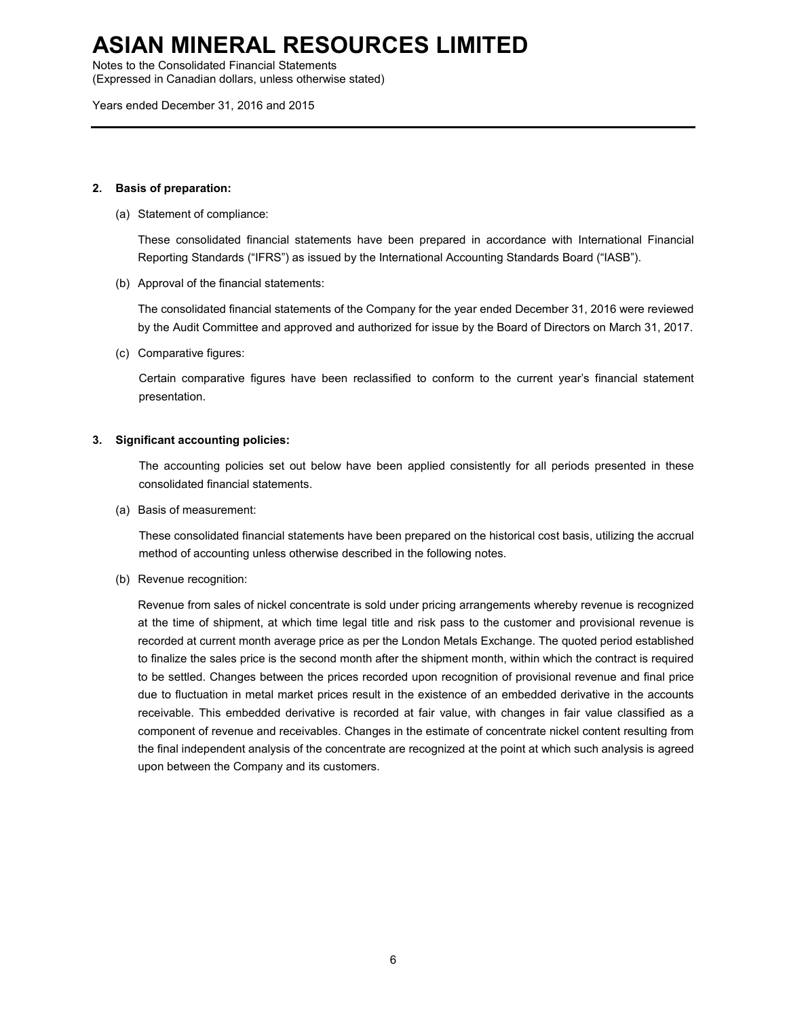Notes to the Consolidated Financial Statements

(Expressed in Canadian dollars, unless otherwise stated)

Years ended December 31, 2016 and 2015

#### **2. Basis of preparation:**

(a) Statement of compliance:

These consolidated financial statements have been prepared in accordance with International Financial Reporting Standards ("IFRS") as issued by the International Accounting Standards Board ("IASB").

(b) Approval of the financial statements:

The consolidated financial statements of the Company for the year ended December 31, 2016 were reviewed by the Audit Committee and approved and authorized for issue by the Board of Directors on March 31, 2017.

(c) Comparative figures:

Certain comparative figures have been reclassified to conform to the current year's financial statement presentation.

#### **3. Significant accounting policies:**

The accounting policies set out below have been applied consistently for all periods presented in these consolidated financial statements.

(a) Basis of measurement:

These consolidated financial statements have been prepared on the historical cost basis, utilizing the accrual method of accounting unless otherwise described in the following notes.

(b) Revenue recognition:

Revenue from sales of nickel concentrate is sold under pricing arrangements whereby revenue is recognized at the time of shipment, at which time legal title and risk pass to the customer and provisional revenue is recorded at current month average price as per the London Metals Exchange. The quoted period established to finalize the sales price is the second month after the shipment month, within which the contract is required to be settled. Changes between the prices recorded upon recognition of provisional revenue and final price due to fluctuation in metal market prices result in the existence of an embedded derivative in the accounts receivable. This embedded derivative is recorded at fair value, with changes in fair value classified as a component of revenue and receivables. Changes in the estimate of concentrate nickel content resulting from the final independent analysis of the concentrate are recognized at the point at which such analysis is agreed upon between the Company and its customers.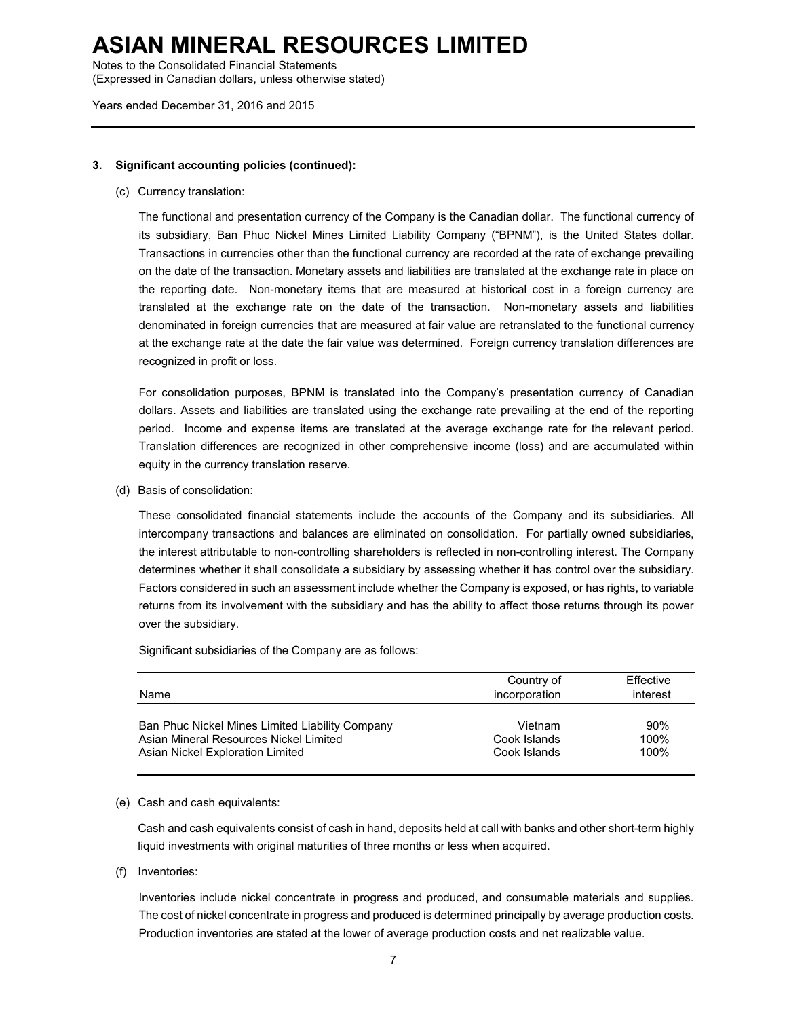Notes to the Consolidated Financial Statements

(Expressed in Canadian dollars, unless otherwise stated)

Years ended December 31, 2016 and 2015

### **3. Significant accounting policies (continued):**

(c) Currency translation:

The functional and presentation currency of the Company is the Canadian dollar. The functional currency of its subsidiary, Ban Phuc Nickel Mines Limited Liability Company ("BPNM"), is the United States dollar. Transactions in currencies other than the functional currency are recorded at the rate of exchange prevailing on the date of the transaction. Monetary assets and liabilities are translated at the exchange rate in place on the reporting date. Non-monetary items that are measured at historical cost in a foreign currency are translated at the exchange rate on the date of the transaction. Non-monetary assets and liabilities denominated in foreign currencies that are measured at fair value are retranslated to the functional currency at the exchange rate at the date the fair value was determined. Foreign currency translation differences are recognized in profit or loss.

For consolidation purposes, BPNM is translated into the Company's presentation currency of Canadian dollars. Assets and liabilities are translated using the exchange rate prevailing at the end of the reporting period. Income and expense items are translated at the average exchange rate for the relevant period. Translation differences are recognized in other comprehensive income (loss) and are accumulated within equity in the currency translation reserve.

(d) Basis of consolidation:

These consolidated financial statements include the accounts of the Company and its subsidiaries. All intercompany transactions and balances are eliminated on consolidation. For partially owned subsidiaries, the interest attributable to non-controlling shareholders is reflected in non-controlling interest. The Company determines whether it shall consolidate a subsidiary by assessing whether it has control over the subsidiary. Factors considered in such an assessment include whether the Company is exposed, or has rights, to variable returns from its involvement with the subsidiary and has the ability to affect those returns through its power over the subsidiary.

Significant subsidiaries of the Company are as follows:

| Name                                            | Country of<br>incorporation | Effective<br>interest |
|-------------------------------------------------|-----------------------------|-----------------------|
| Ban Phuc Nickel Mines Limited Liability Company | Vietnam                     | 90%                   |
| Asian Mineral Resources Nickel Limited          | Cook Islands                | 100%                  |
| Asian Nickel Exploration Limited                | Cook Islands                | 100%                  |

#### (e) Cash and cash equivalents:

Cash and cash equivalents consist of cash in hand, deposits held at call with banks and other short-term highly liquid investments with original maturities of three months or less when acquired.

(f) Inventories:

Inventories include nickel concentrate in progress and produced, and consumable materials and supplies. The cost of nickel concentrate in progress and produced is determined principally by average production costs. Production inventories are stated at the lower of average production costs and net realizable value.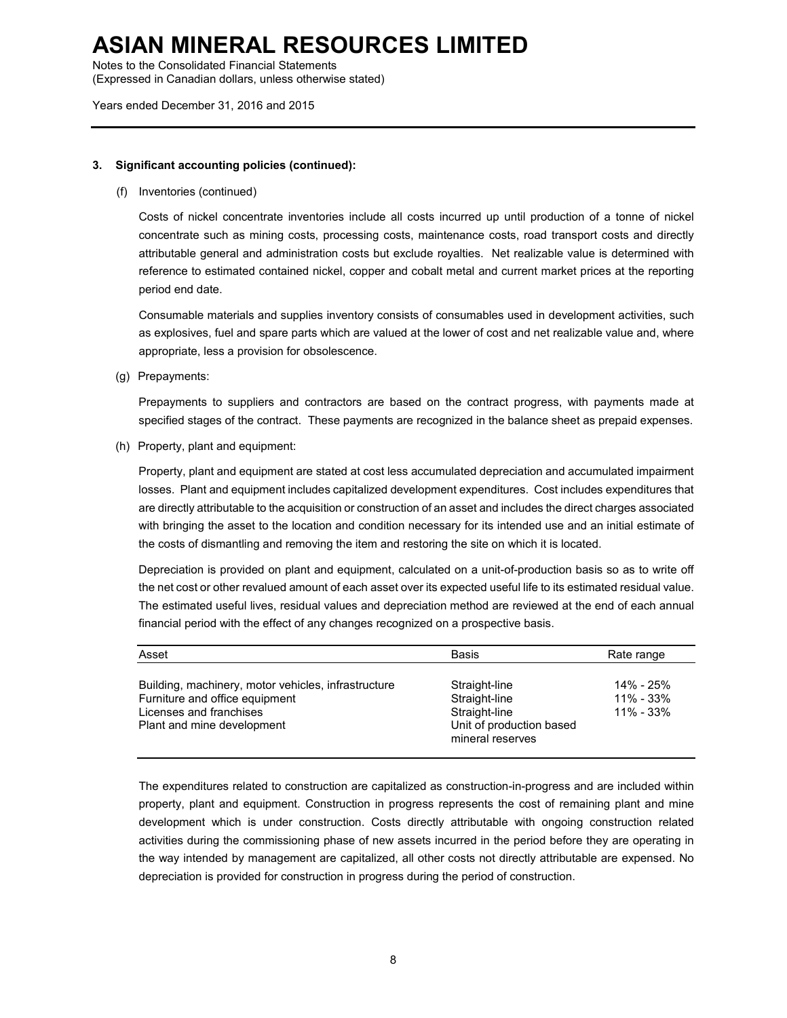Notes to the Consolidated Financial Statements

(Expressed in Canadian dollars, unless otherwise stated)

Years ended December 31, 2016 and 2015

#### **3. Significant accounting policies (continued):**

(f) Inventories (continued)

Costs of nickel concentrate inventories include all costs incurred up until production of a tonne of nickel concentrate such as mining costs, processing costs, maintenance costs, road transport costs and directly attributable general and administration costs but exclude royalties. Net realizable value is determined with reference to estimated contained nickel, copper and cobalt metal and current market prices at the reporting period end date.

Consumable materials and supplies inventory consists of consumables used in development activities, such as explosives, fuel and spare parts which are valued at the lower of cost and net realizable value and, where appropriate, less a provision for obsolescence.

(g) Prepayments:

Prepayments to suppliers and contractors are based on the contract progress, with payments made at specified stages of the contract. These payments are recognized in the balance sheet as prepaid expenses.

(h) Property, plant and equipment:

Property, plant and equipment are stated at cost less accumulated depreciation and accumulated impairment losses. Plant and equipment includes capitalized development expenditures. Cost includes expenditures that are directly attributable to the acquisition or construction of an asset and includes the direct charges associated with bringing the asset to the location and condition necessary for its intended use and an initial estimate of the costs of dismantling and removing the item and restoring the site on which it is located.

Depreciation is provided on plant and equipment, calculated on a unit-of-production basis so as to write off the net cost or other revalued amount of each asset over its expected useful life to its estimated residual value. The estimated useful lives, residual values and depreciation method are reviewed at the end of each annual financial period with the effect of any changes recognized on a prospective basis.

| Asset                                                                                                                                          | <b>Basis</b>                                                                                    | Rate range                                  |
|------------------------------------------------------------------------------------------------------------------------------------------------|-------------------------------------------------------------------------------------------------|---------------------------------------------|
| Building, machinery, motor vehicles, infrastructure<br>Furniture and office equipment<br>Licenses and franchises<br>Plant and mine development | Straight-line<br>Straight-line<br>Straight-line<br>Unit of production based<br>mineral reserves | 14% - 25%<br>$11\% - 33\%$<br>$11\% - 33\%$ |

The expenditures related to construction are capitalized as construction-in-progress and are included within property, plant and equipment. Construction in progress represents the cost of remaining plant and mine development which is under construction. Costs directly attributable with ongoing construction related activities during the commissioning phase of new assets incurred in the period before they are operating in the way intended by management are capitalized, all other costs not directly attributable are expensed. No depreciation is provided for construction in progress during the period of construction.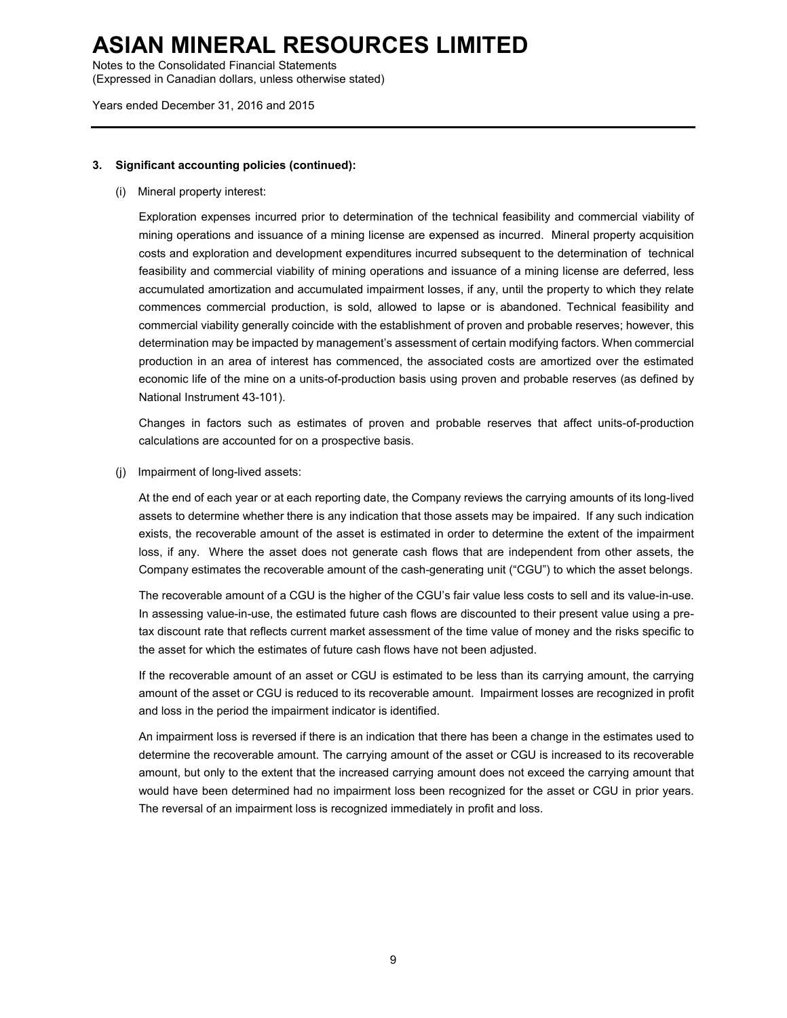Notes to the Consolidated Financial Statements

(Expressed in Canadian dollars, unless otherwise stated)

Years ended December 31, 2016 and 2015

### **3. Significant accounting policies (continued):**

(i) Mineral property interest:

Exploration expenses incurred prior to determination of the technical feasibility and commercial viability of mining operations and issuance of a mining license are expensed as incurred. Mineral property acquisition costs and exploration and development expenditures incurred subsequent to the determination of technical feasibility and commercial viability of mining operations and issuance of a mining license are deferred, less accumulated amortization and accumulated impairment losses, if any, until the property to which they relate commences commercial production, is sold, allowed to lapse or is abandoned. Technical feasibility and commercial viability generally coincide with the establishment of proven and probable reserves; however, this determination may be impacted by management's assessment of certain modifying factors. When commercial production in an area of interest has commenced, the associated costs are amortized over the estimated economic life of the mine on a units-of-production basis using proven and probable reserves (as defined by National Instrument 43-101).

Changes in factors such as estimates of proven and probable reserves that affect units-of-production calculations are accounted for on a prospective basis.

(j) Impairment of long-lived assets:

At the end of each year or at each reporting date, the Company reviews the carrying amounts of its long-lived assets to determine whether there is any indication that those assets may be impaired. If any such indication exists, the recoverable amount of the asset is estimated in order to determine the extent of the impairment loss, if any. Where the asset does not generate cash flows that are independent from other assets, the Company estimates the recoverable amount of the cash-generating unit ("CGU") to which the asset belongs.

The recoverable amount of a CGU is the higher of the CGU's fair value less costs to sell and its value-in-use. In assessing value-in-use, the estimated future cash flows are discounted to their present value using a pretax discount rate that reflects current market assessment of the time value of money and the risks specific to the asset for which the estimates of future cash flows have not been adjusted.

If the recoverable amount of an asset or CGU is estimated to be less than its carrying amount, the carrying amount of the asset or CGU is reduced to its recoverable amount. Impairment losses are recognized in profit and loss in the period the impairment indicator is identified.

An impairment loss is reversed if there is an indication that there has been a change in the estimates used to determine the recoverable amount. The carrying amount of the asset or CGU is increased to its recoverable amount, but only to the extent that the increased carrying amount does not exceed the carrying amount that would have been determined had no impairment loss been recognized for the asset or CGU in prior years. The reversal of an impairment loss is recognized immediately in profit and loss.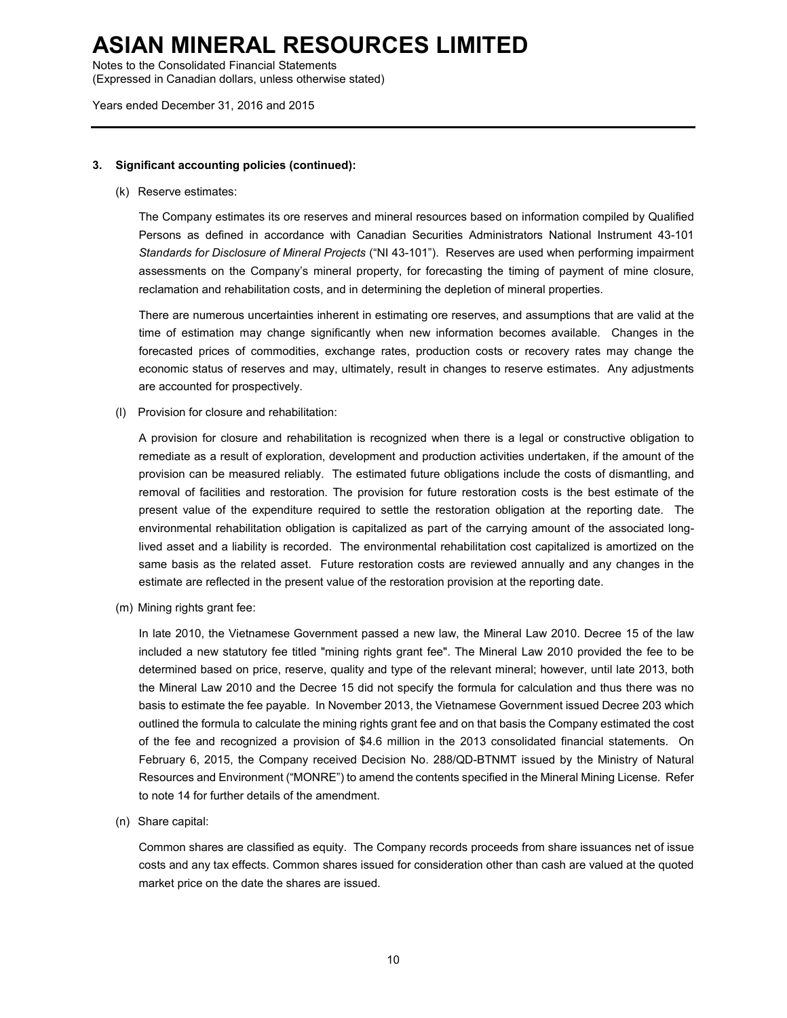Notes to the Consolidated Financial Statements

(Expressed in Canadian dollars, unless otherwise stated)

Years ended December 31, 2016 and 2015

#### **3. Significant accounting policies (continued):**

(k) Reserve estimates:

The Company estimates its ore reserves and mineral resources based on information compiled by Qualified Persons as defined in accordance with Canadian Securities Administrators National Instrument 43-101 *Standards for Disclosure of Mineral Projects* ("NI 43-101"). Reserves are used when performing impairment assessments on the Company's mineral property, for forecasting the timing of payment of mine closure, reclamation and rehabilitation costs, and in determining the depletion of mineral properties.

There are numerous uncertainties inherent in estimating ore reserves, and assumptions that are valid at the time of estimation may change significantly when new information becomes available. Changes in the forecasted prices of commodities, exchange rates, production costs or recovery rates may change the economic status of reserves and may, ultimately, result in changes to reserve estimates. Any adjustments are accounted for prospectively.

(l) Provision for closure and rehabilitation:

A provision for closure and rehabilitation is recognized when there is a legal or constructive obligation to remediate as a result of exploration, development and production activities undertaken, if the amount of the provision can be measured reliably. The estimated future obligations include the costs of dismantling, and removal of facilities and restoration. The provision for future restoration costs is the best estimate of the present value of the expenditure required to settle the restoration obligation at the reporting date. The environmental rehabilitation obligation is capitalized as part of the carrying amount of the associated longlived asset and a liability is recorded. The environmental rehabilitation cost capitalized is amortized on the same basis as the related asset. Future restoration costs are reviewed annually and any changes in the estimate are reflected in the present value of the restoration provision at the reporting date.

(m) Mining rights grant fee:

In late 2010, the Vietnamese Government passed a new law, the Mineral Law 2010. Decree 15 of the law included a new statutory fee titled "mining rights grant fee". The Mineral Law 2010 provided the fee to be determined based on price, reserve, quality and type of the relevant mineral; however, until late 2013, both the Mineral Law 2010 and the Decree 15 did not specify the formula for calculation and thus there was no basis to estimate the fee payable. In November 2013, the Vietnamese Government issued Decree 203 which outlined the formula to calculate the mining rights grant fee and on that basis the Company estimated the cost of the fee and recognized a provision of \$4.6 million in the 2013 consolidated financial statements. On February 6, 2015, the Company received Decision No. 288/QD-BTNMT issued by the Ministry of Natural Resources and Environment ("MONRE") to amend the contents specified in the Mineral Mining License. Refer to note 14 for further details of the amendment.

(n) Share capital:

Common shares are classified as equity. The Company records proceeds from share issuances net of issue costs and any tax effects. Common shares issued for consideration other than cash are valued at the quoted market price on the date the shares are issued.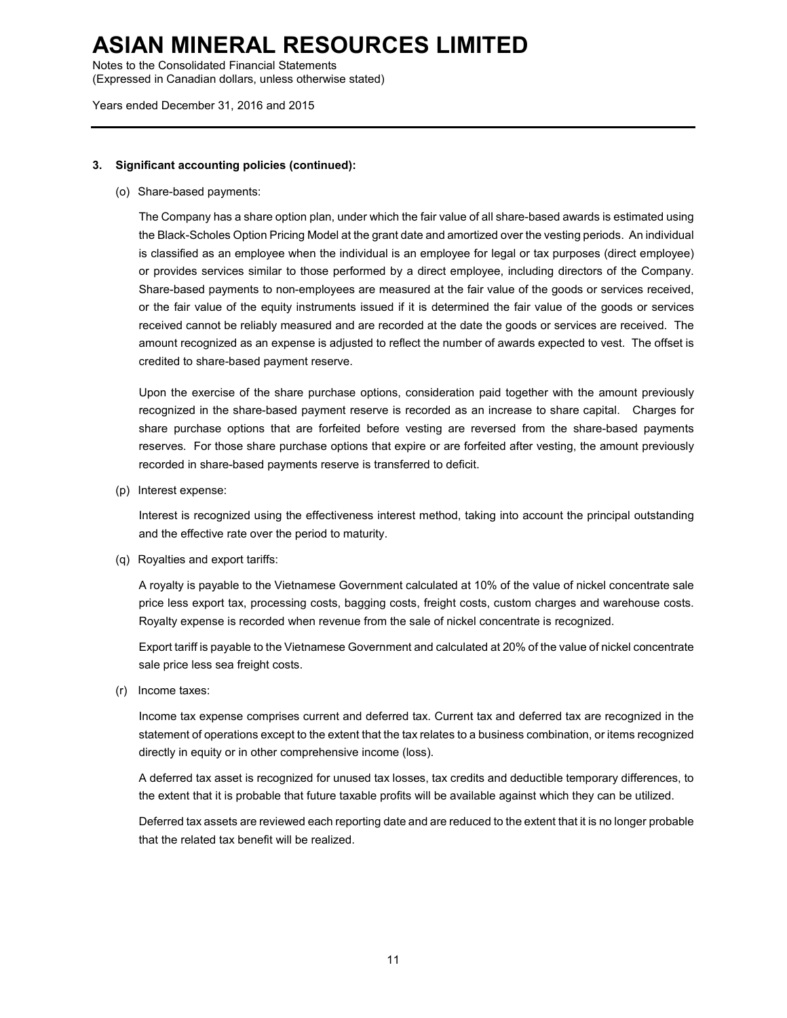Notes to the Consolidated Financial Statements

(Expressed in Canadian dollars, unless otherwise stated)

Years ended December 31, 2016 and 2015

### **3. Significant accounting policies (continued):**

(o) Share-based payments:

The Company has a share option plan, under which the fair value of all share-based awards is estimated using the Black-Scholes Option Pricing Model at the grant date and amortized over the vesting periods. An individual is classified as an employee when the individual is an employee for legal or tax purposes (direct employee) or provides services similar to those performed by a direct employee, including directors of the Company. Share-based payments to non-employees are measured at the fair value of the goods or services received, or the fair value of the equity instruments issued if it is determined the fair value of the goods or services received cannot be reliably measured and are recorded at the date the goods or services are received. The amount recognized as an expense is adjusted to reflect the number of awards expected to vest. The offset is credited to share-based payment reserve.

Upon the exercise of the share purchase options, consideration paid together with the amount previously recognized in the share-based payment reserve is recorded as an increase to share capital. Charges for share purchase options that are forfeited before vesting are reversed from the share-based payments reserves. For those share purchase options that expire or are forfeited after vesting, the amount previously recorded in share-based payments reserve is transferred to deficit.

(p) Interest expense:

Interest is recognized using the effectiveness interest method, taking into account the principal outstanding and the effective rate over the period to maturity.

(q) Royalties and export tariffs:

A royalty is payable to the Vietnamese Government calculated at 10% of the value of nickel concentrate sale price less export tax, processing costs, bagging costs, freight costs, custom charges and warehouse costs. Royalty expense is recorded when revenue from the sale of nickel concentrate is recognized.

Export tariff is payable to the Vietnamese Government and calculated at 20% of the value of nickel concentrate sale price less sea freight costs.

(r) Income taxes:

Income tax expense comprises current and deferred tax. Current tax and deferred tax are recognized in the statement of operations except to the extent that the tax relates to a business combination, or items recognized directly in equity or in other comprehensive income (loss).

A deferred tax asset is recognized for unused tax losses, tax credits and deductible temporary differences, to the extent that it is probable that future taxable profits will be available against which they can be utilized.

Deferred tax assets are reviewed each reporting date and are reduced to the extent that it is no longer probable that the related tax benefit will be realized.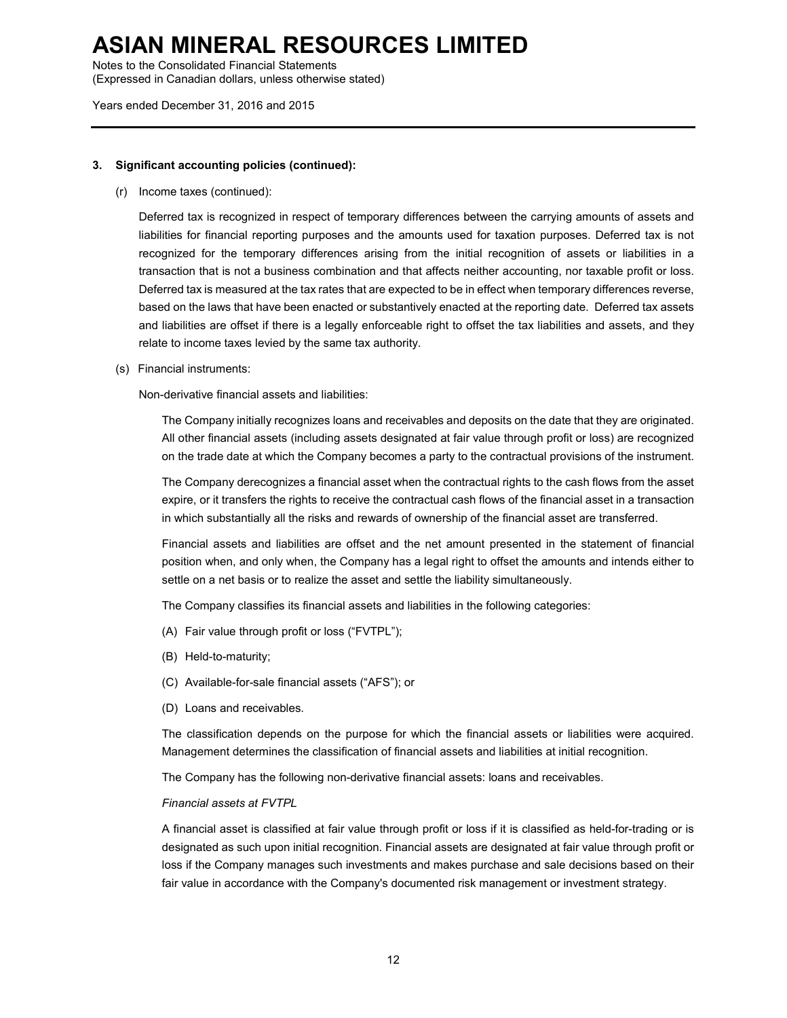Notes to the Consolidated Financial Statements

(Expressed in Canadian dollars, unless otherwise stated)

Years ended December 31, 2016 and 2015

#### **3. Significant accounting policies (continued):**

(r) Income taxes (continued):

Deferred tax is recognized in respect of temporary differences between the carrying amounts of assets and liabilities for financial reporting purposes and the amounts used for taxation purposes. Deferred tax is not recognized for the temporary differences arising from the initial recognition of assets or liabilities in a transaction that is not a business combination and that affects neither accounting, nor taxable profit or loss. Deferred tax is measured at the tax rates that are expected to be in effect when temporary differences reverse, based on the laws that have been enacted or substantively enacted at the reporting date. Deferred tax assets and liabilities are offset if there is a legally enforceable right to offset the tax liabilities and assets, and they relate to income taxes levied by the same tax authority.

(s) Financial instruments:

Non-derivative financial assets and liabilities:

The Company initially recognizes loans and receivables and deposits on the date that they are originated. All other financial assets (including assets designated at fair value through profit or loss) are recognized on the trade date at which the Company becomes a party to the contractual provisions of the instrument.

The Company derecognizes a financial asset when the contractual rights to the cash flows from the asset expire, or it transfers the rights to receive the contractual cash flows of the financial asset in a transaction in which substantially all the risks and rewards of ownership of the financial asset are transferred.

Financial assets and liabilities are offset and the net amount presented in the statement of financial position when, and only when, the Company has a legal right to offset the amounts and intends either to settle on a net basis or to realize the asset and settle the liability simultaneously.

The Company classifies its financial assets and liabilities in the following categories:

- (A) Fair value through profit or loss ("FVTPL");
- (B) Held-to-maturity;
- (C) Available-for-sale financial assets ("AFS"); or
- (D) Loans and receivables.

The classification depends on the purpose for which the financial assets or liabilities were acquired. Management determines the classification of financial assets and liabilities at initial recognition.

The Company has the following non-derivative financial assets: loans and receivables.

#### *Financial assets at FVTPL*

A financial asset is classified at fair value through profit or loss if it is classified as held-for-trading or is designated as such upon initial recognition. Financial assets are designated at fair value through profit or loss if the Company manages such investments and makes purchase and sale decisions based on their fair value in accordance with the Company's documented risk management or investment strategy.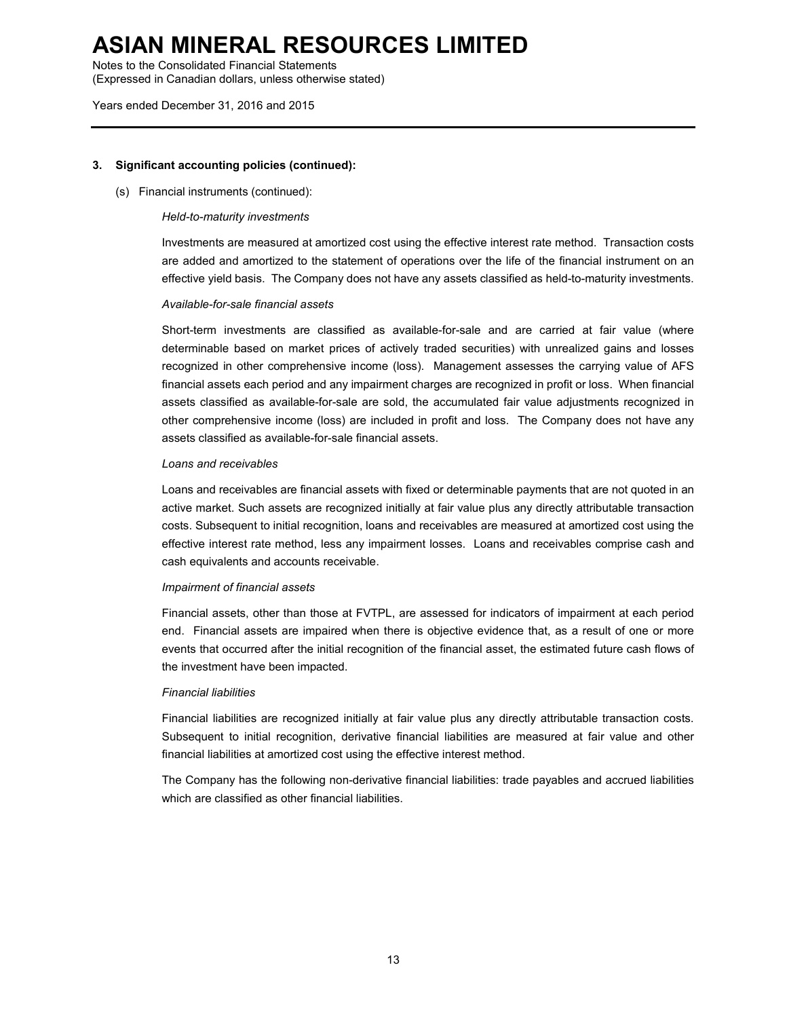Notes to the Consolidated Financial Statements

(Expressed in Canadian dollars, unless otherwise stated)

Years ended December 31, 2016 and 2015

#### **3. Significant accounting policies (continued):**

(s) Financial instruments (continued):

#### *Held-to-maturity investments*

Investments are measured at amortized cost using the effective interest rate method. Transaction costs are added and amortized to the statement of operations over the life of the financial instrument on an effective yield basis. The Company does not have any assets classified as held-to-maturity investments.

#### *Available-for-sale financial assets*

Short-term investments are classified as available-for-sale and are carried at fair value (where determinable based on market prices of actively traded securities) with unrealized gains and losses recognized in other comprehensive income (loss). Management assesses the carrying value of AFS financial assets each period and any impairment charges are recognized in profit or loss. When financial assets classified as available-for-sale are sold, the accumulated fair value adjustments recognized in other comprehensive income (loss) are included in profit and loss. The Company does not have any assets classified as available-for-sale financial assets.

#### *Loans and receivables*

Loans and receivables are financial assets with fixed or determinable payments that are not quoted in an active market. Such assets are recognized initially at fair value plus any directly attributable transaction costs. Subsequent to initial recognition, loans and receivables are measured at amortized cost using the effective interest rate method, less any impairment losses. Loans and receivables comprise cash and cash equivalents and accounts receivable.

#### *Impairment of financial assets*

Financial assets, other than those at FVTPL, are assessed for indicators of impairment at each period end. Financial assets are impaired when there is objective evidence that, as a result of one or more events that occurred after the initial recognition of the financial asset, the estimated future cash flows of the investment have been impacted.

#### *Financial liabilities*

Financial liabilities are recognized initially at fair value plus any directly attributable transaction costs. Subsequent to initial recognition, derivative financial liabilities are measured at fair value and other financial liabilities at amortized cost using the effective interest method.

The Company has the following non-derivative financial liabilities: trade payables and accrued liabilities which are classified as other financial liabilities.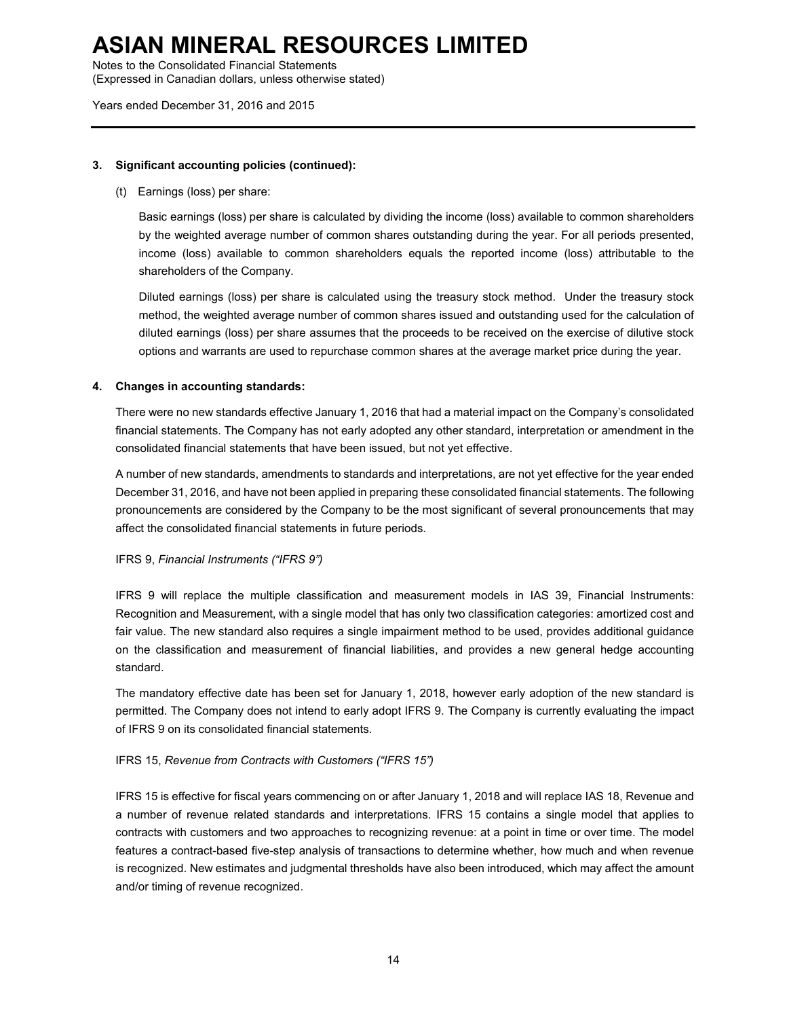Notes to the Consolidated Financial Statements

(Expressed in Canadian dollars, unless otherwise stated)

Years ended December 31, 2016 and 2015

### **3. Significant accounting policies (continued):**

(t) Earnings (loss) per share:

Basic earnings (loss) per share is calculated by dividing the income (loss) available to common shareholders by the weighted average number of common shares outstanding during the year. For all periods presented, income (loss) available to common shareholders equals the reported income (loss) attributable to the shareholders of the Company.

Diluted earnings (loss) per share is calculated using the treasury stock method. Under the treasury stock method, the weighted average number of common shares issued and outstanding used for the calculation of diluted earnings (loss) per share assumes that the proceeds to be received on the exercise of dilutive stock options and warrants are used to repurchase common shares at the average market price during the year.

### **4. Changes in accounting standards:**

There were no new standards effective January 1, 2016 that had a material impact on the Company's consolidated financial statements. The Company has not early adopted any other standard, interpretation or amendment in the consolidated financial statements that have been issued, but not yet effective.

A number of new standards, amendments to standards and interpretations, are not yet effective for the year ended December 31, 2016, and have not been applied in preparing these consolidated financial statements. The following pronouncements are considered by the Company to be the most significant of several pronouncements that may affect the consolidated financial statements in future periods.

#### IFRS 9, *Financial Instruments ("IFRS 9")*

IFRS 9 will replace the multiple classification and measurement models in IAS 39, Financial Instruments: Recognition and Measurement, with a single model that has only two classification categories: amortized cost and fair value. The new standard also requires a single impairment method to be used, provides additional guidance on the classification and measurement of financial liabilities, and provides a new general hedge accounting standard.

The mandatory effective date has been set for January 1, 2018, however early adoption of the new standard is permitted. The Company does not intend to early adopt IFRS 9. The Company is currently evaluating the impact of IFRS 9 on its consolidated financial statements.

### IFRS 15, *Revenue from Contracts with Customers ("IFRS 15")*

IFRS 15 is effective for fiscal years commencing on or after January 1, 2018 and will replace IAS 18, Revenue and a number of revenue related standards and interpretations. IFRS 15 contains a single model that applies to contracts with customers and two approaches to recognizing revenue: at a point in time or over time. The model features a contract-based five-step analysis of transactions to determine whether, how much and when revenue is recognized. New estimates and judgmental thresholds have also been introduced, which may affect the amount and/or timing of revenue recognized.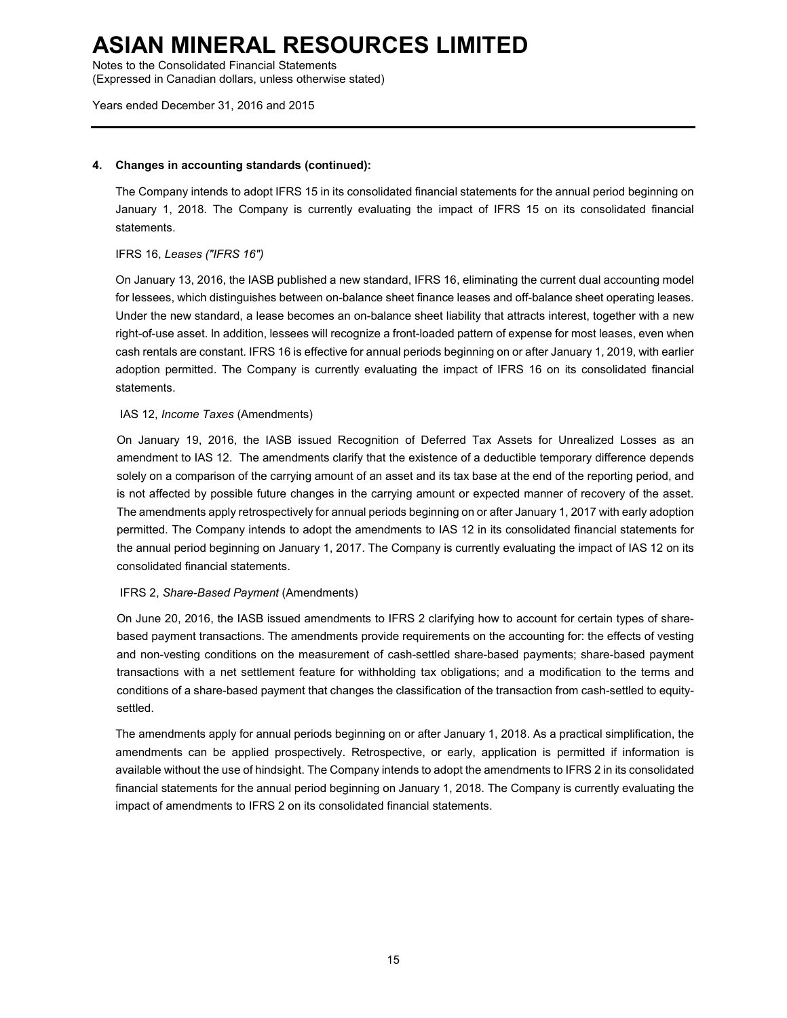Notes to the Consolidated Financial Statements

(Expressed in Canadian dollars, unless otherwise stated)

Years ended December 31, 2016 and 2015

### **4. Changes in accounting standards (continued):**

The Company intends to adopt IFRS 15 in its consolidated financial statements for the annual period beginning on January 1, 2018. The Company is currently evaluating the impact of IFRS 15 on its consolidated financial statements.

### IFRS 16, *Leases ("IFRS 16")*

On January 13, 2016, the IASB published a new standard, IFRS 16, eliminating the current dual accounting model for lessees, which distinguishes between on-balance sheet finance leases and off-balance sheet operating leases. Under the new standard, a lease becomes an on-balance sheet liability that attracts interest, together with a new right-of-use asset. In addition, lessees will recognize a front-loaded pattern of expense for most leases, even when cash rentals are constant. IFRS 16 is effective for annual periods beginning on or after January 1, 2019, with earlier adoption permitted. The Company is currently evaluating the impact of IFRS 16 on its consolidated financial statements.

### IAS 12, *Income Taxes* (Amendments)

On January 19, 2016, the IASB issued Recognition of Deferred Tax Assets for Unrealized Losses as an amendment to IAS 12. The amendments clarify that the existence of a deductible temporary difference depends solely on a comparison of the carrying amount of an asset and its tax base at the end of the reporting period, and is not affected by possible future changes in the carrying amount or expected manner of recovery of the asset. The amendments apply retrospectively for annual periods beginning on or after January 1, 2017 with early adoption permitted. The Company intends to adopt the amendments to IAS 12 in its consolidated financial statements for the annual period beginning on January 1, 2017. The Company is currently evaluating the impact of IAS 12 on its consolidated financial statements.

#### IFRS 2, *Share-Based Payment* (Amendments)

On June 20, 2016, the IASB issued amendments to IFRS 2 clarifying how to account for certain types of sharebased payment transactions. The amendments provide requirements on the accounting for: the effects of vesting and non-vesting conditions on the measurement of cash-settled share-based payments; share-based payment transactions with a net settlement feature for withholding tax obligations; and a modification to the terms and conditions of a share-based payment that changes the classification of the transaction from cash-settled to equitysettled.

The amendments apply for annual periods beginning on or after January 1, 2018. As a practical simplification, the amendments can be applied prospectively. Retrospective, or early, application is permitted if information is available without the use of hindsight. The Company intends to adopt the amendments to IFRS 2 in its consolidated financial statements for the annual period beginning on January 1, 2018. The Company is currently evaluating the impact of amendments to IFRS 2 on its consolidated financial statements.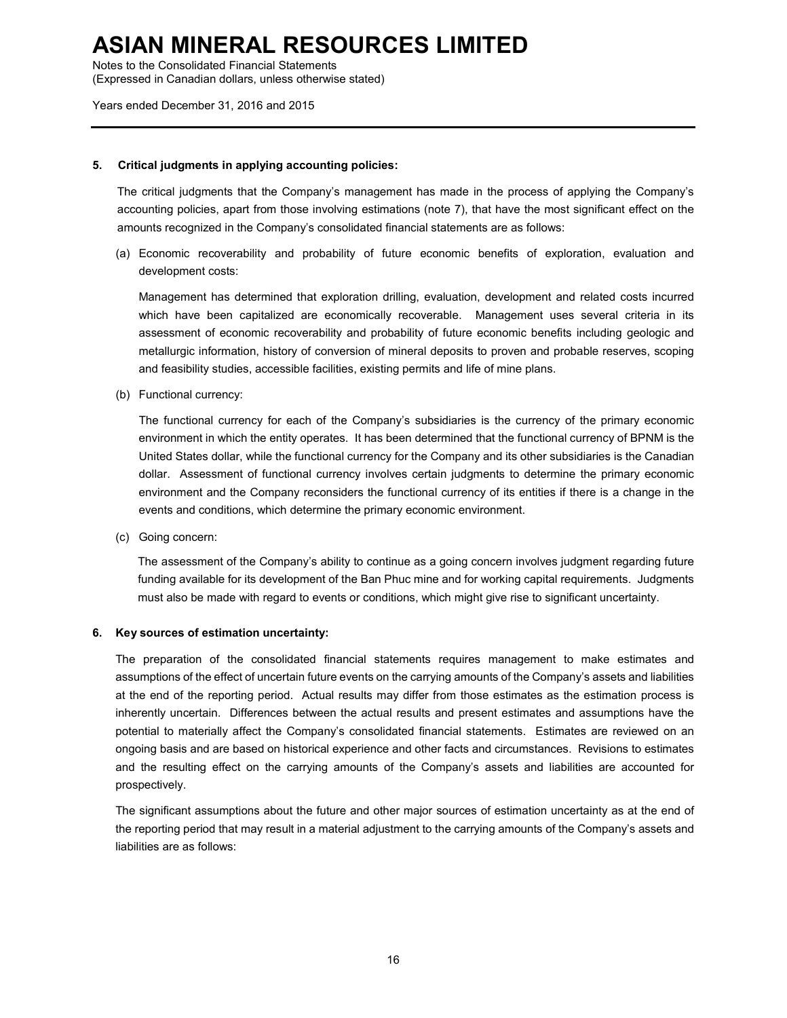Notes to the Consolidated Financial Statements

(Expressed in Canadian dollars, unless otherwise stated)

Years ended December 31, 2016 and 2015

#### **5. Critical judgments in applying accounting policies:**

The critical judgments that the Company's management has made in the process of applying the Company's accounting policies, apart from those involving estimations (note 7), that have the most significant effect on the amounts recognized in the Company's consolidated financial statements are as follows:

(a) Economic recoverability and probability of future economic benefits of exploration, evaluation and development costs:

Management has determined that exploration drilling, evaluation, development and related costs incurred which have been capitalized are economically recoverable. Management uses several criteria in its assessment of economic recoverability and probability of future economic benefits including geologic and metallurgic information, history of conversion of mineral deposits to proven and probable reserves, scoping and feasibility studies, accessible facilities, existing permits and life of mine plans.

(b) Functional currency:

The functional currency for each of the Company's subsidiaries is the currency of the primary economic environment in which the entity operates. It has been determined that the functional currency of BPNM is the United States dollar, while the functional currency for the Company and its other subsidiaries is the Canadian dollar. Assessment of functional currency involves certain judgments to determine the primary economic environment and the Company reconsiders the functional currency of its entities if there is a change in the events and conditions, which determine the primary economic environment.

(c) Going concern:

The assessment of the Company's ability to continue as a going concern involves judgment regarding future funding available for its development of the Ban Phuc mine and for working capital requirements. Judgments must also be made with regard to events or conditions, which might give rise to significant uncertainty.

#### **6. Key sources of estimation uncertainty:**

The preparation of the consolidated financial statements requires management to make estimates and assumptions of the effect of uncertain future events on the carrying amounts of the Company's assets and liabilities at the end of the reporting period. Actual results may differ from those estimates as the estimation process is inherently uncertain. Differences between the actual results and present estimates and assumptions have the potential to materially affect the Company's consolidated financial statements. Estimates are reviewed on an ongoing basis and are based on historical experience and other facts and circumstances. Revisions to estimates and the resulting effect on the carrying amounts of the Company's assets and liabilities are accounted for prospectively.

The significant assumptions about the future and other major sources of estimation uncertainty as at the end of the reporting period that may result in a material adjustment to the carrying amounts of the Company's assets and liabilities are as follows: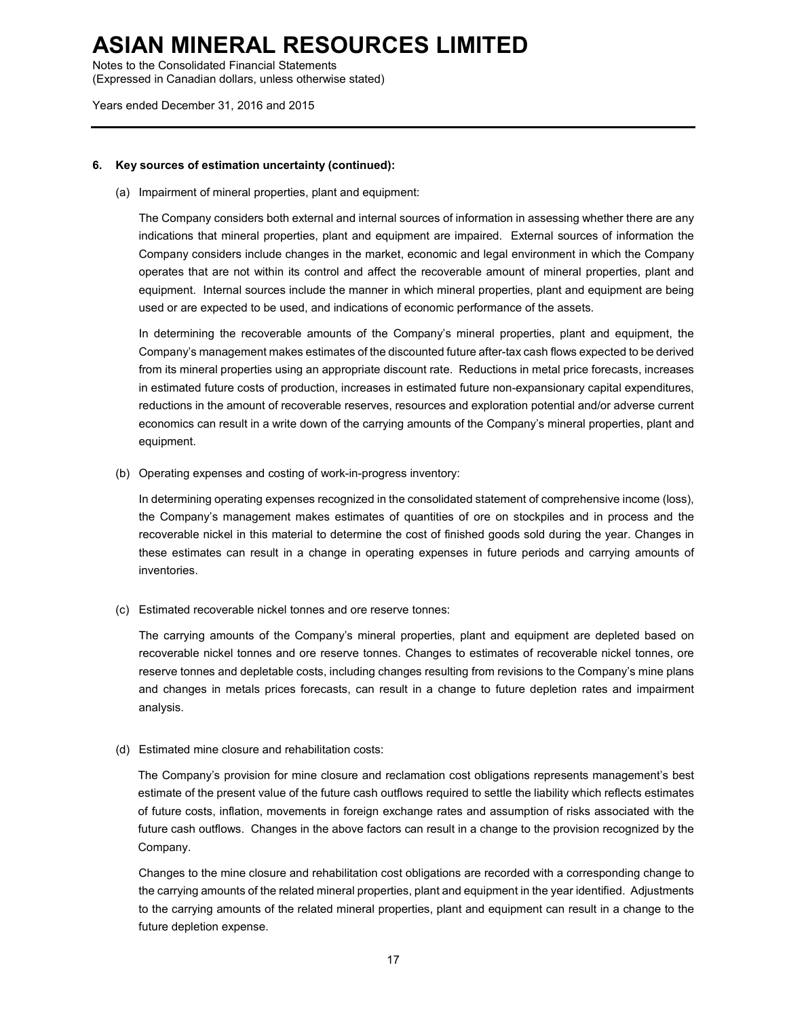Notes to the Consolidated Financial Statements (Expressed in Canadian dollars, unless otherwise stated)

Years ended December 31, 2016 and 2015

### **6. Key sources of estimation uncertainty (continued):**

(a) Impairment of mineral properties, plant and equipment:

The Company considers both external and internal sources of information in assessing whether there are any indications that mineral properties, plant and equipment are impaired. External sources of information the Company considers include changes in the market, economic and legal environment in which the Company operates that are not within its control and affect the recoverable amount of mineral properties, plant and equipment. Internal sources include the manner in which mineral properties, plant and equipment are being used or are expected to be used, and indications of economic performance of the assets.

In determining the recoverable amounts of the Company's mineral properties, plant and equipment, the Company's management makes estimates of the discounted future after-tax cash flows expected to be derived from its mineral properties using an appropriate discount rate. Reductions in metal price forecasts, increases in estimated future costs of production, increases in estimated future non-expansionary capital expenditures, reductions in the amount of recoverable reserves, resources and exploration potential and/or adverse current economics can result in a write down of the carrying amounts of the Company's mineral properties, plant and equipment.

(b) Operating expenses and costing of work-in-progress inventory:

In determining operating expenses recognized in the consolidated statement of comprehensive income (loss), the Company's management makes estimates of quantities of ore on stockpiles and in process and the recoverable nickel in this material to determine the cost of finished goods sold during the year. Changes in these estimates can result in a change in operating expenses in future periods and carrying amounts of inventories.

(c) Estimated recoverable nickel tonnes and ore reserve tonnes:

The carrying amounts of the Company's mineral properties, plant and equipment are depleted based on recoverable nickel tonnes and ore reserve tonnes. Changes to estimates of recoverable nickel tonnes, ore reserve tonnes and depletable costs, including changes resulting from revisions to the Company's mine plans and changes in metals prices forecasts, can result in a change to future depletion rates and impairment analysis.

(d) Estimated mine closure and rehabilitation costs:

The Company's provision for mine closure and reclamation cost obligations represents management's best estimate of the present value of the future cash outflows required to settle the liability which reflects estimates of future costs, inflation, movements in foreign exchange rates and assumption of risks associated with the future cash outflows. Changes in the above factors can result in a change to the provision recognized by the Company.

Changes to the mine closure and rehabilitation cost obligations are recorded with a corresponding change to the carrying amounts of the related mineral properties, plant and equipment in the year identified. Adjustments to the carrying amounts of the related mineral properties, plant and equipment can result in a change to the future depletion expense.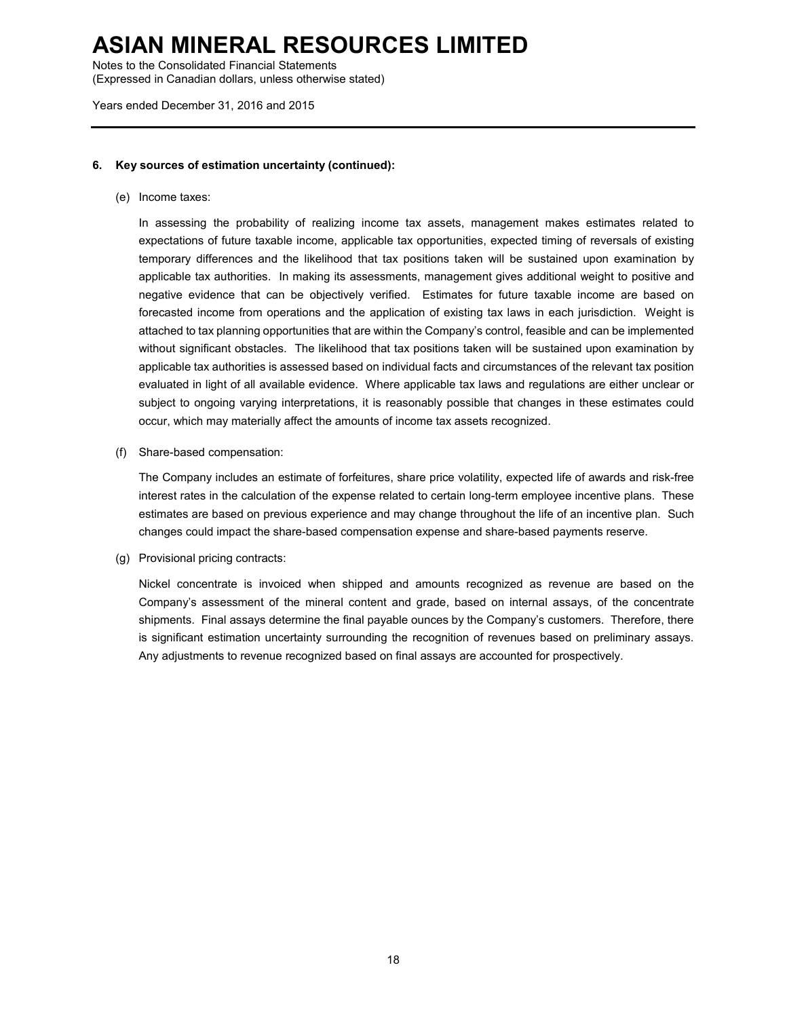Notes to the Consolidated Financial Statements

(Expressed in Canadian dollars, unless otherwise stated)

Years ended December 31, 2016 and 2015

### **6. Key sources of estimation uncertainty (continued):**

(e) Income taxes:

In assessing the probability of realizing income tax assets, management makes estimates related to expectations of future taxable income, applicable tax opportunities, expected timing of reversals of existing temporary differences and the likelihood that tax positions taken will be sustained upon examination by applicable tax authorities. In making its assessments, management gives additional weight to positive and negative evidence that can be objectively verified. Estimates for future taxable income are based on forecasted income from operations and the application of existing tax laws in each jurisdiction. Weight is attached to tax planning opportunities that are within the Company's control, feasible and can be implemented without significant obstacles. The likelihood that tax positions taken will be sustained upon examination by applicable tax authorities is assessed based on individual facts and circumstances of the relevant tax position evaluated in light of all available evidence. Where applicable tax laws and regulations are either unclear or subject to ongoing varying interpretations, it is reasonably possible that changes in these estimates could occur, which may materially affect the amounts of income tax assets recognized.

(f) Share-based compensation:

The Company includes an estimate of forfeitures, share price volatility, expected life of awards and risk-free interest rates in the calculation of the expense related to certain long-term employee incentive plans. These estimates are based on previous experience and may change throughout the life of an incentive plan. Such changes could impact the share-based compensation expense and share-based payments reserve.

(g) Provisional pricing contracts:

Nickel concentrate is invoiced when shipped and amounts recognized as revenue are based on the Company's assessment of the mineral content and grade, based on internal assays, of the concentrate shipments. Final assays determine the final payable ounces by the Company's customers. Therefore, there is significant estimation uncertainty surrounding the recognition of revenues based on preliminary assays. Any adjustments to revenue recognized based on final assays are accounted for prospectively.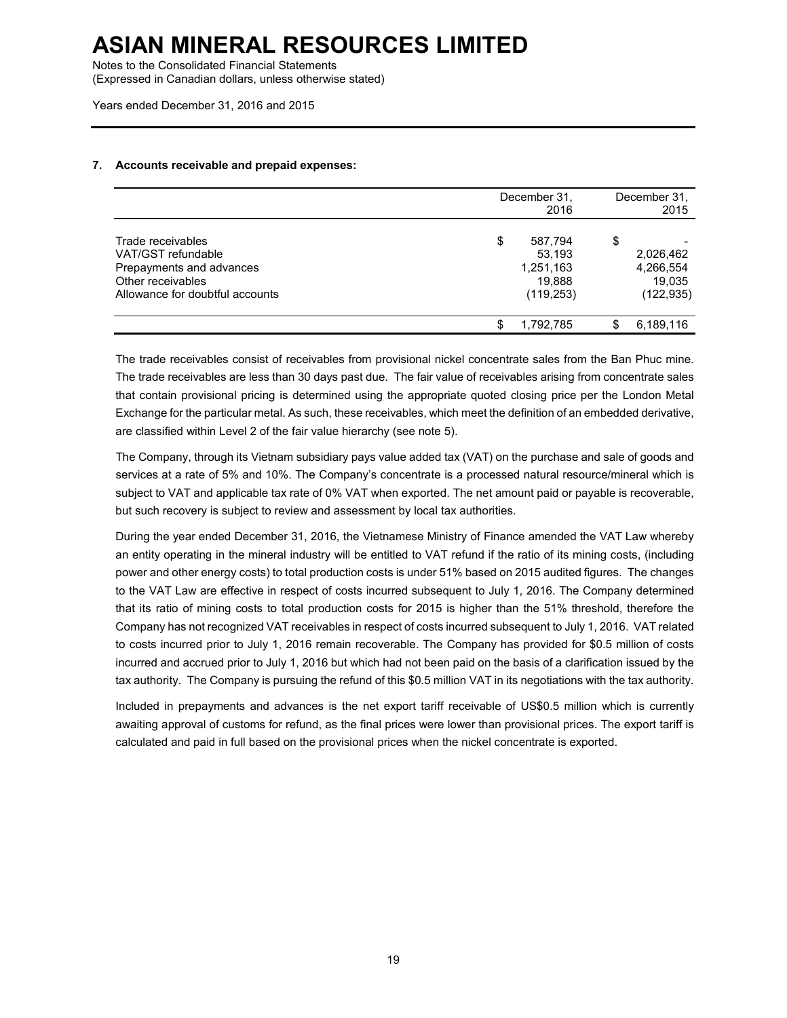Notes to the Consolidated Financial Statements

(Expressed in Canadian dollars, unless otherwise stated)

Years ended December 31, 2016 and 2015

### **7. Accounts receivable and prepaid expenses:**

|                                                                     |    | December 31,<br>2016           |    | December 31,<br>2015   |
|---------------------------------------------------------------------|----|--------------------------------|----|------------------------|
| Trade receivables<br>VAT/GST refundable<br>Prepayments and advances | \$ | 587,794<br>53,193<br>1,251,163 | \$ | 2,026,462<br>4,266,554 |
| Other receivables<br>Allowance for doubtful accounts                |    | 19.888<br>(119, 253)           |    | 19.035<br>(122, 935)   |
|                                                                     | S  | 1,792,785                      | S  | 6,189,116              |

The trade receivables consist of receivables from provisional nickel concentrate sales from the Ban Phuc mine. The trade receivables are less than 30 days past due. The fair value of receivables arising from concentrate sales that contain provisional pricing is determined using the appropriate quoted closing price per the London Metal Exchange for the particular metal. As such, these receivables, which meet the definition of an embedded derivative, are classified within Level 2 of the fair value hierarchy (see note 5).

The Company, through its Vietnam subsidiary pays value added tax (VAT) on the purchase and sale of goods and services at a rate of 5% and 10%. The Company's concentrate is a processed natural resource/mineral which is subject to VAT and applicable tax rate of 0% VAT when exported. The net amount paid or payable is recoverable, but such recovery is subject to review and assessment by local tax authorities.

During the year ended December 31, 2016, the Vietnamese Ministry of Finance amended the VAT Law whereby an entity operating in the mineral industry will be entitled to VAT refund if the ratio of its mining costs, (including power and other energy costs) to total production costs is under 51% based on 2015 audited figures. The changes to the VAT Law are effective in respect of costs incurred subsequent to July 1, 2016. The Company determined that its ratio of mining costs to total production costs for 2015 is higher than the 51% threshold, therefore the Company has not recognized VAT receivables in respect of costs incurred subsequent to July 1, 2016. VAT related to costs incurred prior to July 1, 2016 remain recoverable. The Company has provided for \$0.5 million of costs incurred and accrued prior to July 1, 2016 but which had not been paid on the basis of a clarification issued by the tax authority. The Company is pursuing the refund of this \$0.5 million VAT in its negotiations with the tax authority.

Included in prepayments and advances is the net export tariff receivable of US\$0.5 million which is currently awaiting approval of customs for refund, as the final prices were lower than provisional prices. The export tariff is calculated and paid in full based on the provisional prices when the nickel concentrate is exported.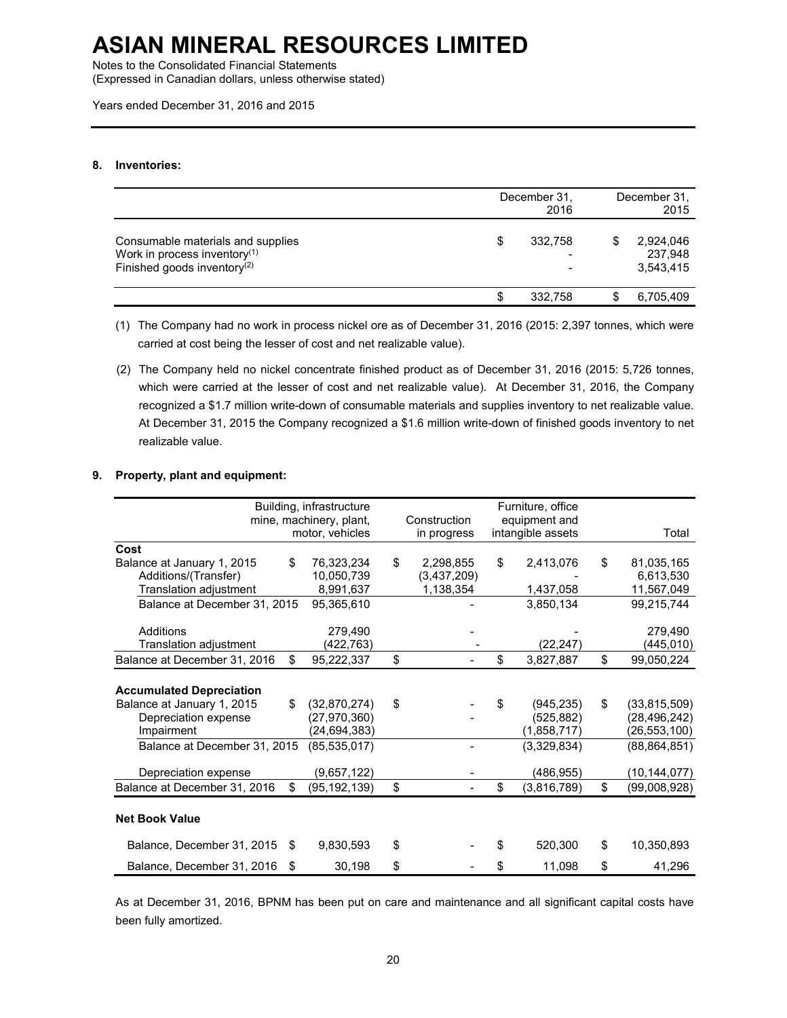Notes to the Consolidated Financial Statements

(Expressed in Canadian dollars, unless otherwise stated)

Years ended December 31, 2016 and 2015

### **8. Inventories:**

|                                                                                                                 |   | December 31.<br>2016 | December 31.<br>2015              |
|-----------------------------------------------------------------------------------------------------------------|---|----------------------|-----------------------------------|
| Consumable materials and supplies<br>Work in process inventory <sup>(1)</sup><br>Finished goods inventory $(2)$ | S | 332,758              | 2,924,046<br>237,948<br>3,543,415 |
|                                                                                                                 | S | 332.758              | 6,705,409                         |

(1) The Company had no work in process nickel ore as of December 31, 2016 (2015: 2,397 tonnes, which were carried at cost being the lesser of cost and net realizable value).

(2) The Company held no nickel concentrate finished product as of December 31, 2016 (2015: 5,726 tonnes, which were carried at the lesser of cost and net realizable value). At December 31, 2016, the Company recognized a \$1.7 million write-down of consumable materials and supplies inventory to net realizable value. At December 31, 2015 the Company recognized a \$1.6 million write-down of finished goods inventory to net realizable value.

### **9. Property, plant and equipment:**

|                                    | Building, infrastructure |                 | Furniture, office |                      |
|------------------------------------|--------------------------|-----------------|-------------------|----------------------|
|                                    | mine, machinery, plant,  | Construction    | equipment and     |                      |
|                                    | motor, vehicles          | in progress     | intangible assets | Total                |
| Cost                               |                          |                 |                   |                      |
| Balance at January 1, 2015         | \$<br>76,323,234         | \$<br>2,298,855 | \$<br>2,413,076   | \$<br>81,035,165     |
| Additions/(Transfer)               | 10,050,739               | (3,437,209)     |                   | 6,613,530            |
| Translation adjustment             | 8,991,637                | 1,138,354       | 1,437,058         | 11,567,049           |
| Balance at December 31, 2015       | 95,365,610               |                 | 3,850,134         | 99,215,744           |
| Additions                          | 279,490                  |                 |                   | 279,490              |
| Translation adjustment             | (422,763)                |                 | (22, 247)         | (445, 010)           |
| Balance at December 31, 2016<br>\$ | 95,222,337               | \$              | \$<br>3,827,887   | \$<br>99,050,224     |
| <b>Accumulated Depreciation</b>    |                          |                 |                   |                      |
| Balance at January 1, 2015         | (32,870,274)<br>\$       | \$              | \$<br>(945, 235)  | \$<br>(33, 815, 509) |
| Depreciation expense               | (27, 970, 360)           |                 | (525, 882)        | (28, 496, 242)       |
| Impairment                         | (24, 694, 383)           |                 | (1,858,717)       | (26, 553, 100)       |
| Balance at December 31, 2015       | (85, 535, 017)           |                 | (3,329,834)       | (88, 864, 851)       |
| Depreciation expense               | (9,657,122)              |                 | (486, 955)        | (10, 144, 077)       |
| Balance at December 31, 2016<br>\$ | (95, 192, 139)           | \$              | \$<br>(3,816,789) | \$<br>(99,008,928)   |
| <b>Net Book Value</b>              |                          |                 |                   |                      |
| Balance, December 31, 2015<br>\$   | 9,830,593                | \$              | \$<br>520,300     | \$<br>10,350,893     |
| Balance, December 31, 2016<br>\$   | 30,198                   | \$              | \$<br>11,098      | \$<br>41,296         |

As at December 31, 2016, BPNM has been put on care and maintenance and all significant capital costs have been fully amortized.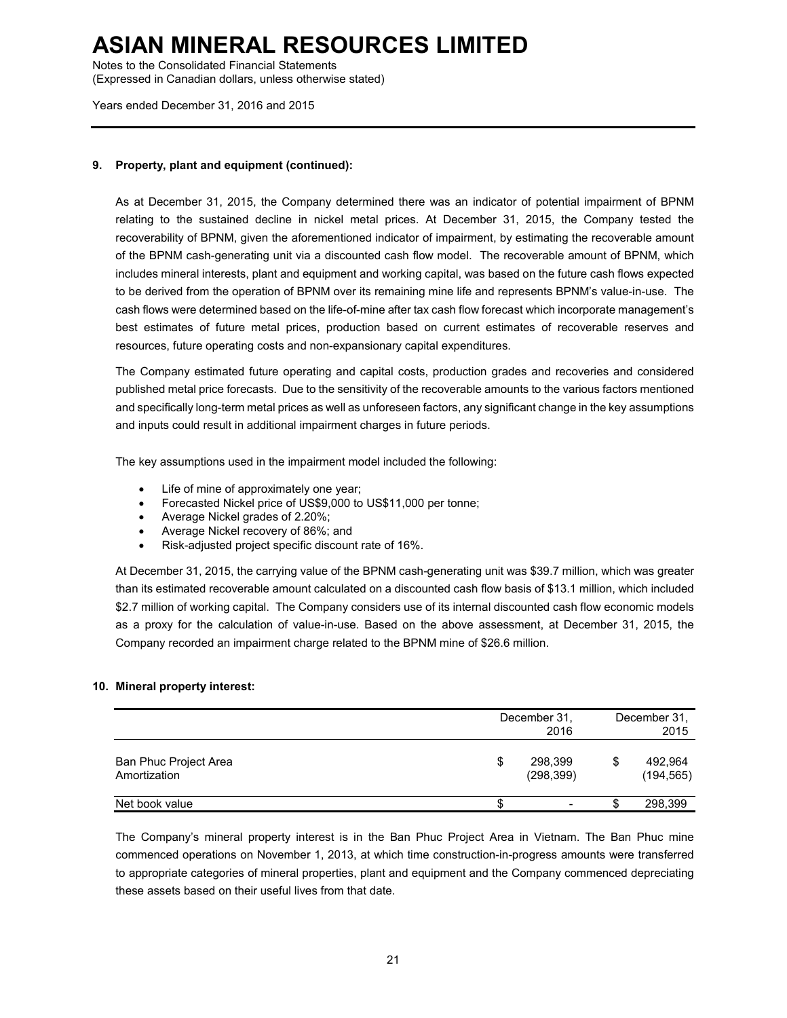Notes to the Consolidated Financial Statements

(Expressed in Canadian dollars, unless otherwise stated)

Years ended December 31, 2016 and 2015

### **9. Property, plant and equipment (continued):**

As at December 31, 2015, the Company determined there was an indicator of potential impairment of BPNM relating to the sustained decline in nickel metal prices. At December 31, 2015, the Company tested the recoverability of BPNM, given the aforementioned indicator of impairment, by estimating the recoverable amount of the BPNM cash-generating unit via a discounted cash flow model. The recoverable amount of BPNM, which includes mineral interests, plant and equipment and working capital, was based on the future cash flows expected to be derived from the operation of BPNM over its remaining mine life and represents BPNM's value-in-use. The cash flows were determined based on the life-of-mine after tax cash flow forecast which incorporate management's best estimates of future metal prices, production based on current estimates of recoverable reserves and resources, future operating costs and non-expansionary capital expenditures.

The Company estimated future operating and capital costs, production grades and recoveries and considered published metal price forecasts. Due to the sensitivity of the recoverable amounts to the various factors mentioned and specifically long-term metal prices as well as unforeseen factors, any significant change in the key assumptions and inputs could result in additional impairment charges in future periods.

The key assumptions used in the impairment model included the following:

- Life of mine of approximately one year;
- Forecasted Nickel price of US\$9,000 to US\$11,000 per tonne;
- Average Nickel grades of 2.20%;
- Average Nickel recovery of 86%; and
- Risk-adjusted project specific discount rate of 16%.

At December 31, 2015, the carrying value of the BPNM cash-generating unit was \$39.7 million, which was greater than its estimated recoverable amount calculated on a discounted cash flow basis of \$13.1 million, which included \$2.7 million of working capital. The Company considers use of its internal discounted cash flow economic models as a proxy for the calculation of value-in-use. Based on the above assessment, at December 31, 2015, the Company recorded an impairment charge related to the BPNM mine of \$26.6 million.

#### **10. Mineral property interest:**

|                                       | December 31.<br>2016        |   | December 31.<br>2015  |
|---------------------------------------|-----------------------------|---|-----------------------|
| Ban Phuc Project Area<br>Amortization | \$<br>298,399<br>(298, 399) | S | 492,964<br>(194, 565) |
| Net book value                        | $\overline{\phantom{0}}$    |   | 298,399               |

The Company's mineral property interest is in the Ban Phuc Project Area in Vietnam. The Ban Phuc mine commenced operations on November 1, 2013, at which time construction-in-progress amounts were transferred to appropriate categories of mineral properties, plant and equipment and the Company commenced depreciating these assets based on their useful lives from that date.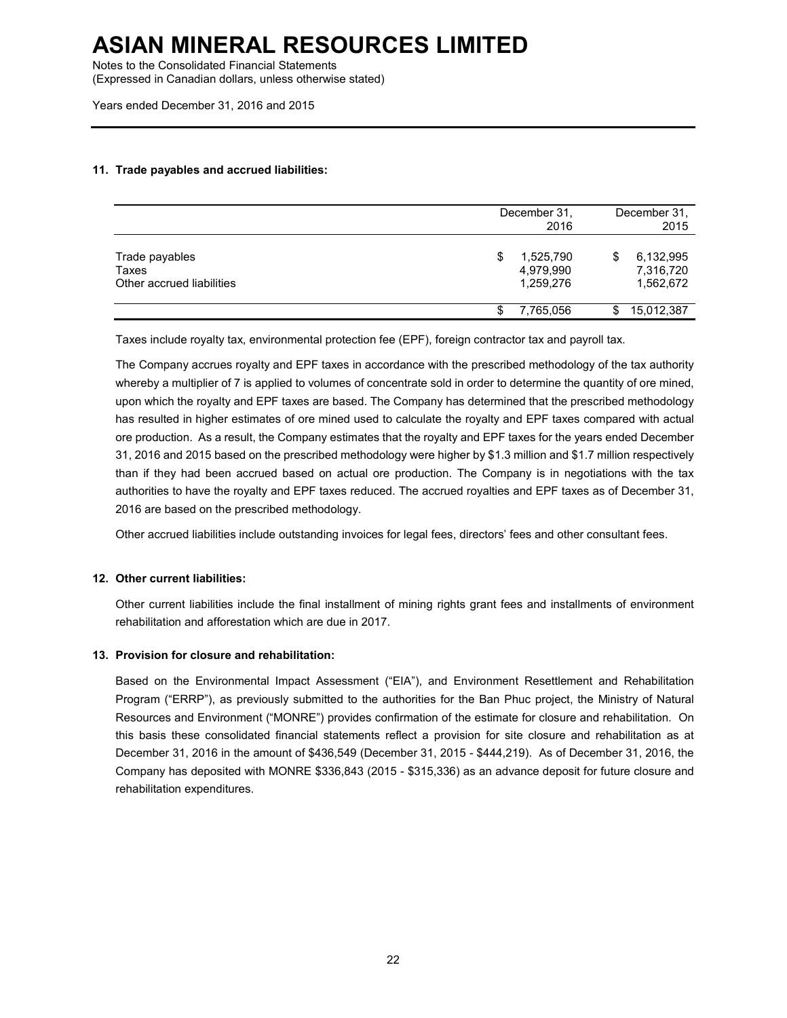Notes to the Consolidated Financial Statements

(Expressed in Canadian dollars, unless otherwise stated)

Years ended December 31, 2016 and 2015

### **11. Trade payables and accrued liabilities:**

|                                                      | December 31.<br>2016                      | December 31.<br>2015                     |
|------------------------------------------------------|-------------------------------------------|------------------------------------------|
| Trade payables<br>Taxes<br>Other accrued liabilities | 1,525,790<br>\$<br>4,979,990<br>1,259,276 | 6,132,995<br>S<br>7,316,720<br>1,562,672 |
|                                                      | 7,765,056                                 | 15,012,387<br>S                          |

Taxes include royalty tax, environmental protection fee (EPF), foreign contractor tax and payroll tax.

The Company accrues royalty and EPF taxes in accordance with the prescribed methodology of the tax authority whereby a multiplier of 7 is applied to volumes of concentrate sold in order to determine the quantity of ore mined, upon which the royalty and EPF taxes are based. The Company has determined that the prescribed methodology has resulted in higher estimates of ore mined used to calculate the royalty and EPF taxes compared with actual ore production. As a result, the Company estimates that the royalty and EPF taxes for the years ended December 31, 2016 and 2015 based on the prescribed methodology were higher by \$1.3 million and \$1.7 million respectively than if they had been accrued based on actual ore production. The Company is in negotiations with the tax authorities to have the royalty and EPF taxes reduced. The accrued royalties and EPF taxes as of December 31, 2016 are based on the prescribed methodology.

Other accrued liabilities include outstanding invoices for legal fees, directors' fees and other consultant fees.

### **12. Other current liabilities:**

Other current liabilities include the final installment of mining rights grant fees and installments of environment rehabilitation and afforestation which are due in 2017.

### **13. Provision for closure and rehabilitation:**

Based on the Environmental Impact Assessment ("EIA"), and Environment Resettlement and Rehabilitation Program ("ERRP"), as previously submitted to the authorities for the Ban Phuc project, the Ministry of Natural Resources and Environment ("MONRE") provides confirmation of the estimate for closure and rehabilitation. On this basis these consolidated financial statements reflect a provision for site closure and rehabilitation as at December 31, 2016 in the amount of \$436,549 (December 31, 2015 - \$444,219). As of December 31, 2016, the Company has deposited with MONRE \$336,843 (2015 - \$315,336) as an advance deposit for future closure and rehabilitation expenditures.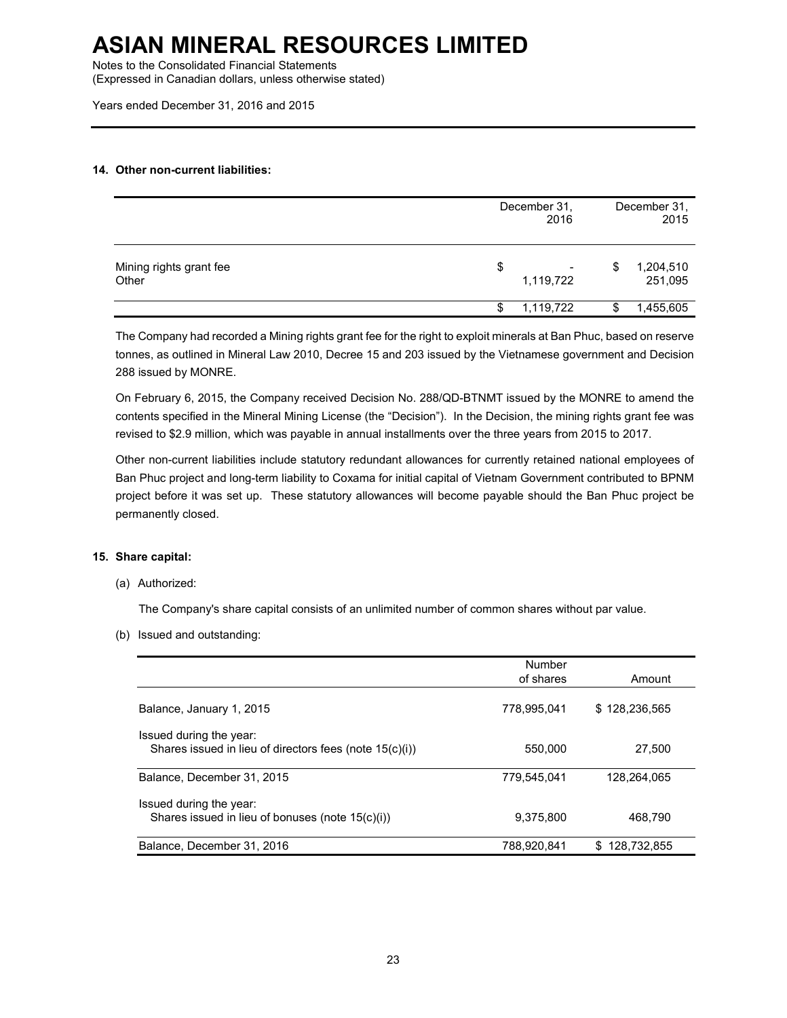Notes to the Consolidated Financial Statements

(Expressed in Canadian dollars, unless otherwise stated)

Years ended December 31, 2016 and 2015

### **14. Other non-current liabilities:**

|                                  | December 31,<br>2016                        | December 31,<br>2015       |  |
|----------------------------------|---------------------------------------------|----------------------------|--|
| Mining rights grant fee<br>Other | \$<br>$\overline{\phantom{a}}$<br>1,119,722 | 1,204,510<br>\$<br>251,095 |  |
|                                  | 1,119,722<br>S                              | 1,455,605                  |  |

The Company had recorded a Mining rights grant fee for the right to exploit minerals at Ban Phuc, based on reserve tonnes, as outlined in Mineral Law 2010, Decree 15 and 203 issued by the Vietnamese government and Decision 288 issued by MONRE.

On February 6, 2015, the Company received Decision No. 288/QD-BTNMT issued by the MONRE to amend the contents specified in the Mineral Mining License (the "Decision"). In the Decision, the mining rights grant fee was revised to \$2.9 million, which was payable in annual installments over the three years from 2015 to 2017.

Other non-current liabilities include statutory redundant allowances for currently retained national employees of Ban Phuc project and long-term liability to Coxama for initial capital of Vietnam Government contributed to BPNM project before it was set up. These statutory allowances will become payable should the Ban Phuc project be permanently closed.

#### **15. Share capital:**

(a) Authorized:

The Company's share capital consists of an unlimited number of common shares without par value.

(b) Issued and outstanding:

|                                                                                    | Number<br>of shares | Amount            |
|------------------------------------------------------------------------------------|---------------------|-------------------|
| Balance, January 1, 2015                                                           | 778.995.041         | \$128,236,565     |
| Issued during the year:<br>Shares issued in lieu of directors fees (note 15(c)(i)) | 550,000             | 27.500            |
| Balance, December 31, 2015                                                         | 779.545.041         | 128.264.065       |
| Issued during the year:<br>Shares issued in lieu of bonuses (note 15(c)(i))        | 9,375,800           | 468.790           |
| Balance, December 31, 2016                                                         | 788.920.841         | 128.732.855<br>S. |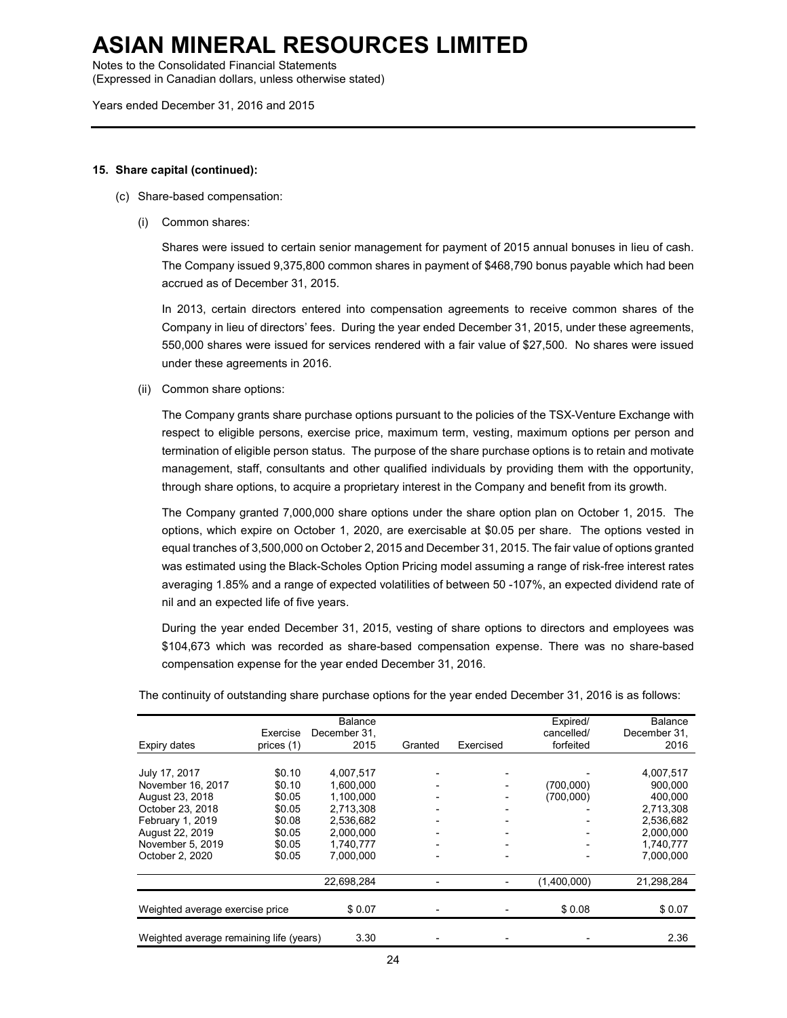Notes to the Consolidated Financial Statements

(Expressed in Canadian dollars, unless otherwise stated)

Years ended December 31, 2016 and 2015

#### **15. Share capital (continued):**

- (c) Share-based compensation:
	- (i) Common shares:

Shares were issued to certain senior management for payment of 2015 annual bonuses in lieu of cash. The Company issued 9,375,800 common shares in payment of \$468,790 bonus payable which had been accrued as of December 31, 2015.

In 2013, certain directors entered into compensation agreements to receive common shares of the Company in lieu of directors' fees. During the year ended December 31, 2015, under these agreements, 550,000 shares were issued for services rendered with a fair value of \$27,500. No shares were issued under these agreements in 2016.

(ii) Common share options:

The Company grants share purchase options pursuant to the policies of the TSX-Venture Exchange with respect to eligible persons, exercise price, maximum term, vesting, maximum options per person and termination of eligible person status. The purpose of the share purchase options is to retain and motivate management, staff, consultants and other qualified individuals by providing them with the opportunity, through share options, to acquire a proprietary interest in the Company and benefit from its growth.

The Company granted 7,000,000 share options under the share option plan on October 1, 2015. The options, which expire on October 1, 2020, are exercisable at \$0.05 per share. The options vested in equal tranches of 3,500,000 on October 2, 2015 and December 31, 2015. The fair value of options granted was estimated using the Black-Scholes Option Pricing model assuming a range of risk-free interest rates averaging 1.85% and a range of expected volatilities of between 50 -107%, an expected dividend rate of nil and an expected life of five years.

During the year ended December 31, 2015, vesting of share options to directors and employees was \$104,673 which was recorded as share-based compensation expense. There was no share-based compensation expense for the year ended December 31, 2016.

|                                         |            | Balance      |         |                          | Expired/                 | <b>Balance</b> |
|-----------------------------------------|------------|--------------|---------|--------------------------|--------------------------|----------------|
|                                         | Exercise   | December 31, |         |                          | cancelled/               | December 31,   |
| Expiry dates                            | prices (1) | 2015         | Granted | Exercised                | forfeited                | 2016           |
|                                         |            |              |         |                          |                          |                |
| July 17, 2017                           | \$0.10     | 4,007,517    |         |                          |                          | 4,007,517      |
| November 16, 2017                       | \$0.10     | 1.600.000    |         | -                        | (700,000)                | 900.000        |
| August 23, 2018                         | \$0.05     | 1,100,000    |         |                          | (700,000)                | 400.000        |
| October 23, 2018                        | \$0.05     | 2.713.308    |         |                          |                          | 2.713.308      |
| February 1, 2019                        | \$0.08     | 2,536,682    |         |                          |                          | 2,536,682      |
| August 22, 2019                         | \$0.05     | 2.000.000    |         |                          |                          | 2,000,000      |
| November 5, 2019                        | \$0.05     | 1,740,777    |         | $\overline{\phantom{0}}$ | $\overline{\phantom{a}}$ | 1,740,777      |
| October 2, 2020                         | \$0.05     | 7.000.000    |         | -                        | $\overline{\phantom{a}}$ | 7.000.000      |
|                                         |            |              |         |                          |                          |                |
|                                         |            | 22,698,284   |         |                          | (1,400,000)              | 21,298,284     |
|                                         |            |              |         |                          |                          |                |
| Weighted average exercise price         |            | \$0.07       |         |                          | \$0.08                   | \$0.07         |
|                                         |            |              |         |                          |                          |                |
| Weighted average remaining life (years) |            | 3.30         |         |                          |                          | 2.36           |

The continuity of outstanding share purchase options for the year ended December 31, 2016 is as follows: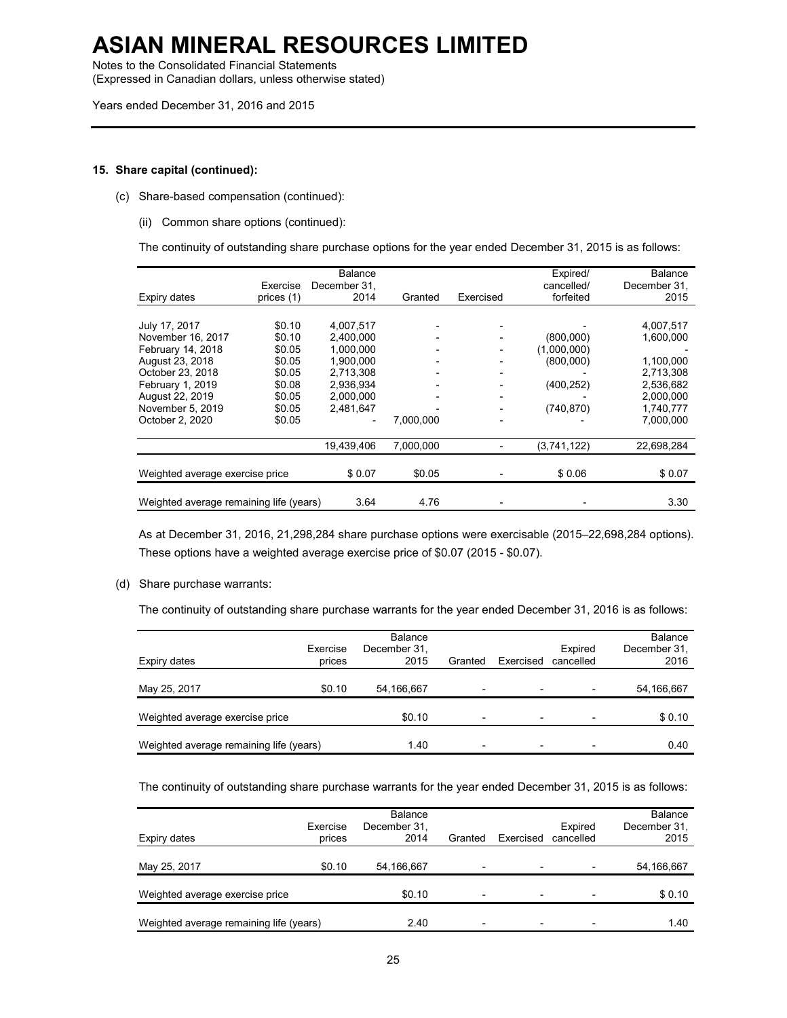Notes to the Consolidated Financial Statements

(Expressed in Canadian dollars, unless otherwise stated)

### **15. Share capital (continued):**

- (c) Share-based compensation (continued):
	- (ii) Common share options (continued):

The continuity of outstanding share purchase options for the year ended December 31, 2015 is as follows:

|                                         | Exercise   | <b>Balance</b><br>December 31, |           |           | Expired/<br>cancelled/ | Balance<br>December 31. |
|-----------------------------------------|------------|--------------------------------|-----------|-----------|------------------------|-------------------------|
| Expiry dates                            | prices (1) | 2014                           | Granted   | Exercised | forfeited              | 2015                    |
|                                         |            |                                |           |           |                        |                         |
| July 17, 2017                           | \$0.10     | 4,007,517                      |           |           |                        | 4,007,517               |
| November 16, 2017                       | \$0.10     | 2.400.000                      |           |           | (800,000)              | 1,600,000               |
| February 14, 2018                       | \$0.05     | 1.000.000                      |           |           | (1,000,000)            |                         |
| August 23, 2018                         | \$0.05     | 1.900.000                      |           |           | (800,000)              | 1,100,000               |
| October 23, 2018                        | \$0.05     | 2,713,308                      |           |           |                        | 2,713,308               |
| February 1, 2019                        | \$0.08     | 2.936.934                      | -         |           | (400, 252)             | 2.536.682               |
| August 22, 2019                         | \$0.05     | 2.000.000                      |           |           |                        | 2,000,000               |
| November 5, 2019                        | \$0.05     | 2,481,647                      |           |           | (740, 870)             | 1,740,777               |
| October 2, 2020                         | \$0.05     |                                | 7.000.000 |           |                        | 7,000,000               |
|                                         |            | 19.439.406                     | 7.000.000 |           | (3,741,122)            | 22,698,284              |
|                                         |            |                                |           |           |                        |                         |
| Weighted average exercise price         |            | \$0.07                         | \$0.05    |           | \$0.06                 | \$0.07                  |
|                                         |            |                                |           |           |                        |                         |
| Weighted average remaining life (years) |            | 3.64                           | 4.76      |           |                        | 3.30                    |

As at December 31, 2016, 21,298,284 share purchase options were exercisable (2015–22,698,284 options). These options have a weighted average exercise price of \$0.07 (2015 - \$0.07).

(d) Share purchase warrants:

The continuity of outstanding share purchase warrants for the year ended December 31, 2016 is as follows:

| Expiry dates                            | Exercise<br>prices | <b>Balance</b><br>December 31,<br>2015 | Granted | Exercised                | Expired<br>cancelled     | Balance<br>December 31.<br>2016 |
|-----------------------------------------|--------------------|----------------------------------------|---------|--------------------------|--------------------------|---------------------------------|
| May 25, 2017                            | \$0.10             | 54,166,667                             | ۰       | $\overline{\phantom{0}}$ |                          | 54,166,667                      |
| Weighted average exercise price         |                    | \$0.10                                 | ۰       | $\overline{\phantom{0}}$ | $\overline{\phantom{0}}$ | \$0.10                          |
| Weighted average remaining life (years) |                    | 1.40                                   | ۰       |                          |                          | 0.40                            |

The continuity of outstanding share purchase warrants for the year ended December 31, 2015 is as follows:

| Expiry dates                            | Exercise<br>prices | <b>Balance</b><br>December 31,<br>2014 | Granted                  | Exercised                | Expired<br>cancelled | Balance<br>December 31,<br>2015 |
|-----------------------------------------|--------------------|----------------------------------------|--------------------------|--------------------------|----------------------|---------------------------------|
|                                         |                    |                                        |                          |                          |                      |                                 |
| May 25, 2017                            | \$0.10             | 54,166,667                             | $\overline{\phantom{0}}$ |                          | -                    | 54,166,667                      |
| Weighted average exercise price         |                    | \$0.10                                 | $\overline{\phantom{0}}$ | $\overline{\phantom{0}}$ |                      | \$0.10                          |
| Weighted average remaining life (years) |                    | 2.40                                   |                          |                          |                      | 1.40                            |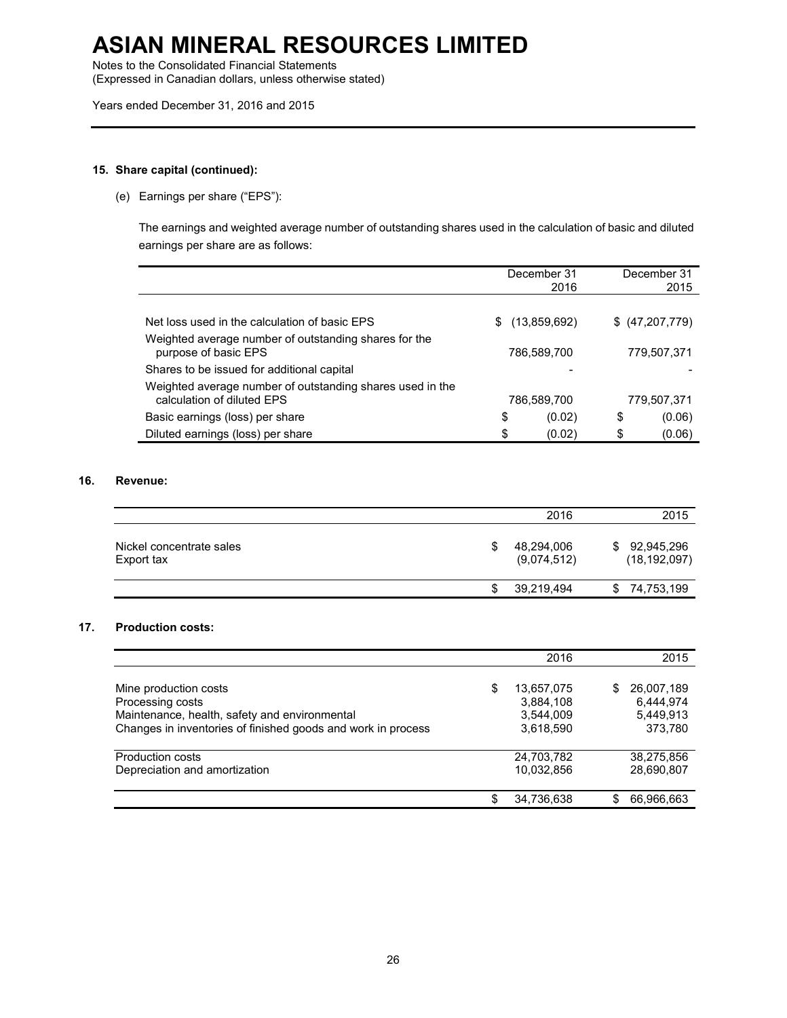Notes to the Consolidated Financial Statements

(Expressed in Canadian dollars, unless otherwise stated)

Years ended December 31, 2016 and 2015

### **15. Share capital (continued):**

(e) Earnings per share ("EPS"):

The earnings and weighted average number of outstanding shares used in the calculation of basic and diluted earnings per share are as follows:

|                                                                                         |             | December 31  |             | December 31     |  |
|-----------------------------------------------------------------------------------------|-------------|--------------|-------------|-----------------|--|
|                                                                                         |             | 2016         | 2015        |                 |  |
|                                                                                         |             |              |             |                 |  |
| Net loss used in the calculation of basic EPS                                           | S.          | (13,859,692) |             | \$ (47,207,779) |  |
| Weighted average number of outstanding shares for the<br>purpose of basic EPS           |             | 786,589,700  | 779,507,371 |                 |  |
| Shares to be issued for additional capital                                              |             |              |             |                 |  |
| Weighted average number of outstanding shares used in the<br>calculation of diluted EPS | 786,589,700 |              |             | 779,507,371     |  |
| Basic earnings (loss) per share                                                         | \$          | (0.02)       | \$          | (0.06)          |  |
| Diluted earnings (loss) per share                                                       | \$          | (0.02)       | \$          | (0.06)          |  |

# **16. Revenue:**

|                                        | 2016                      | 2015                               |
|----------------------------------------|---------------------------|------------------------------------|
| Nickel concentrate sales<br>Export tax | 48,294,006<br>(9.074.512) | 92,945,296<br>S.<br>(18, 192, 097) |
|                                        | 39,219,494                | 74,753,199<br>S.                   |

### **17. Production costs:**

|                                                              |   | 2016       |    | 2015       |
|--------------------------------------------------------------|---|------------|----|------------|
|                                                              |   |            |    |            |
| Mine production costs                                        | S | 13,657,075 | S. | 26,007,189 |
| Processing costs                                             |   | 3,884,108  |    | 6.444.974  |
| Maintenance, health, safety and environmental                |   | 3,544,009  |    | 5,449,913  |
| Changes in inventories of finished goods and work in process |   | 3,618,590  |    | 373.780    |
| Production costs                                             |   | 24,703,782 |    | 38,275,856 |
| Depreciation and amortization                                |   | 10.032.856 |    | 28,690,807 |
|                                                              | S | 34,736,638 | S  | 66,966,663 |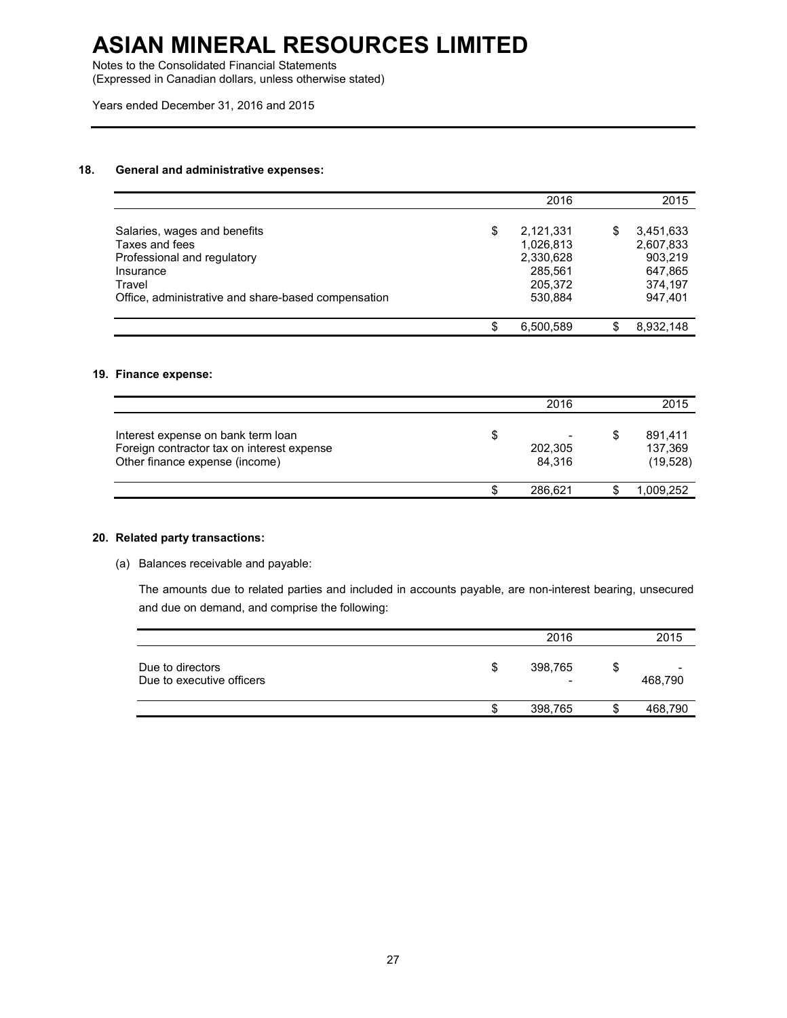Notes to the Consolidated Financial Statements

(Expressed in Canadian dollars, unless otherwise stated)

Years ended December 31, 2016 and 2015

### **18. General and administrative expenses:**

|                                                     | 2016            |   | 2015      |
|-----------------------------------------------------|-----------------|---|-----------|
| Salaries, wages and benefits                        | \$<br>2,121,331 | S | 3,451,633 |
| Taxes and fees                                      | 1,026,813       |   | 2,607,833 |
| Professional and regulatory                         | 2,330,628       |   | 903.219   |
| Insurance                                           | 285,561         |   | 647,865   |
| Travel                                              | 205,372         |   | 374,197   |
| Office, administrative and share-based compensation | 530,884         |   | 947.401   |
|                                                     | \$<br>6,500,589 | S | 8,932,148 |

### **19. Finance expense:**

|                                                                                                                    |   | 2016              |   | 2015                            |
|--------------------------------------------------------------------------------------------------------------------|---|-------------------|---|---------------------------------|
| Interest expense on bank term loan<br>Foreign contractor tax on interest expense<br>Other finance expense (income) | S | 202,305<br>84.316 | S | 891.411<br>137,369<br>(19, 528) |
|                                                                                                                    |   | 286,621           |   | 1,009,252                       |

## **20. Related party transactions:**

(a) Balances receivable and payable:

The amounts due to related parties and included in accounts payable, are non-interest bearing, unsecured and due on demand, and comprise the following:

|                                               |    | 2016    |     | 2015    |
|-----------------------------------------------|----|---------|-----|---------|
| Due to directors<br>Due to executive officers | S  | 398,765 | S   | 468,790 |
|                                               | S. | 398,765 | \$. | 468,790 |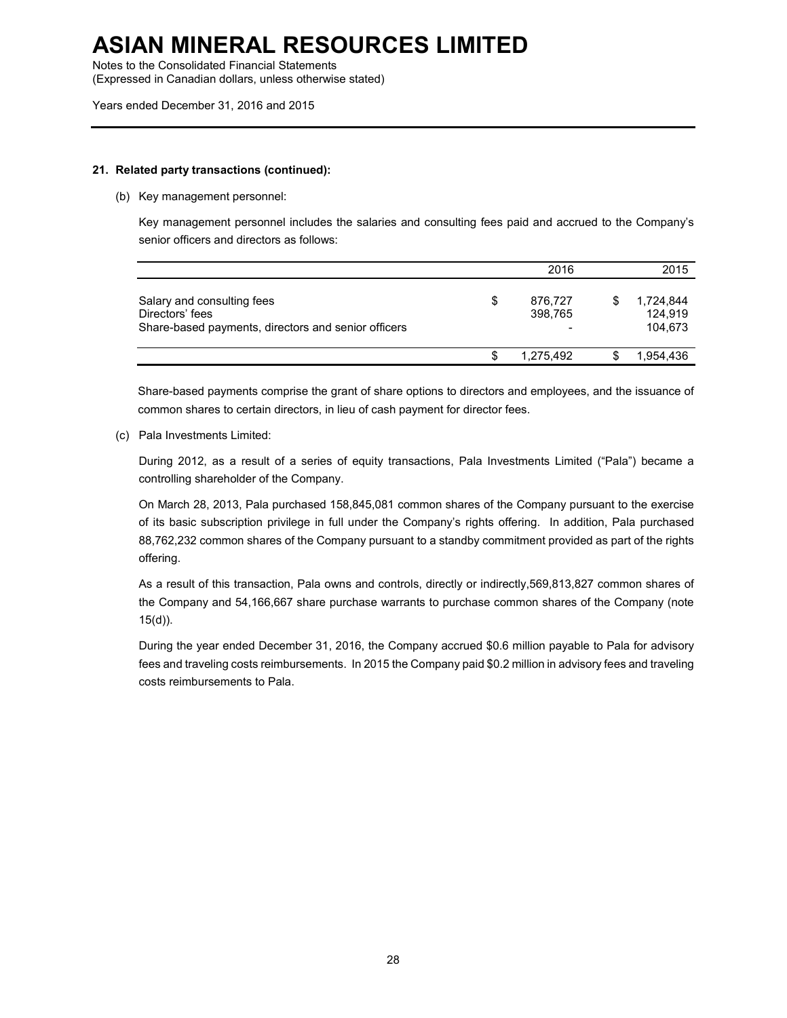Notes to the Consolidated Financial Statements

(Expressed in Canadian dollars, unless otherwise stated)

Years ended December 31, 2016 and 2015

### **21. Related party transactions (continued):**

(b) Key management personnel:

Key management personnel includes the salaries and consulting fees paid and accrued to the Company's senior officers and directors as follows:

|                                                                                                      | 2016                     | 2015                            |
|------------------------------------------------------------------------------------------------------|--------------------------|---------------------------------|
| Salary and consulting fees<br>Directors' fees<br>Share-based payments, directors and senior officers | \$<br>876.727<br>398,765 | 1,724,844<br>124.919<br>104.673 |
|                                                                                                      | 1.275.492                | .954.436                        |

Share-based payments comprise the grant of share options to directors and employees, and the issuance of common shares to certain directors, in lieu of cash payment for director fees.

(c) Pala Investments Limited:

During 2012, as a result of a series of equity transactions, Pala Investments Limited ("Pala") became a controlling shareholder of the Company.

On March 28, 2013, Pala purchased 158,845,081 common shares of the Company pursuant to the exercise of its basic subscription privilege in full under the Company's rights offering. In addition, Pala purchased 88,762,232 common shares of the Company pursuant to a standby commitment provided as part of the rights offering.

As a result of this transaction, Pala owns and controls, directly or indirectly,569,813,827 common shares of the Company and 54,166,667 share purchase warrants to purchase common shares of the Company (note 15(d)).

During the year ended December 31, 2016, the Company accrued \$0.6 million payable to Pala for advisory fees and traveling costs reimbursements. In 2015 the Company paid \$0.2 million in advisory fees and traveling costs reimbursements to Pala.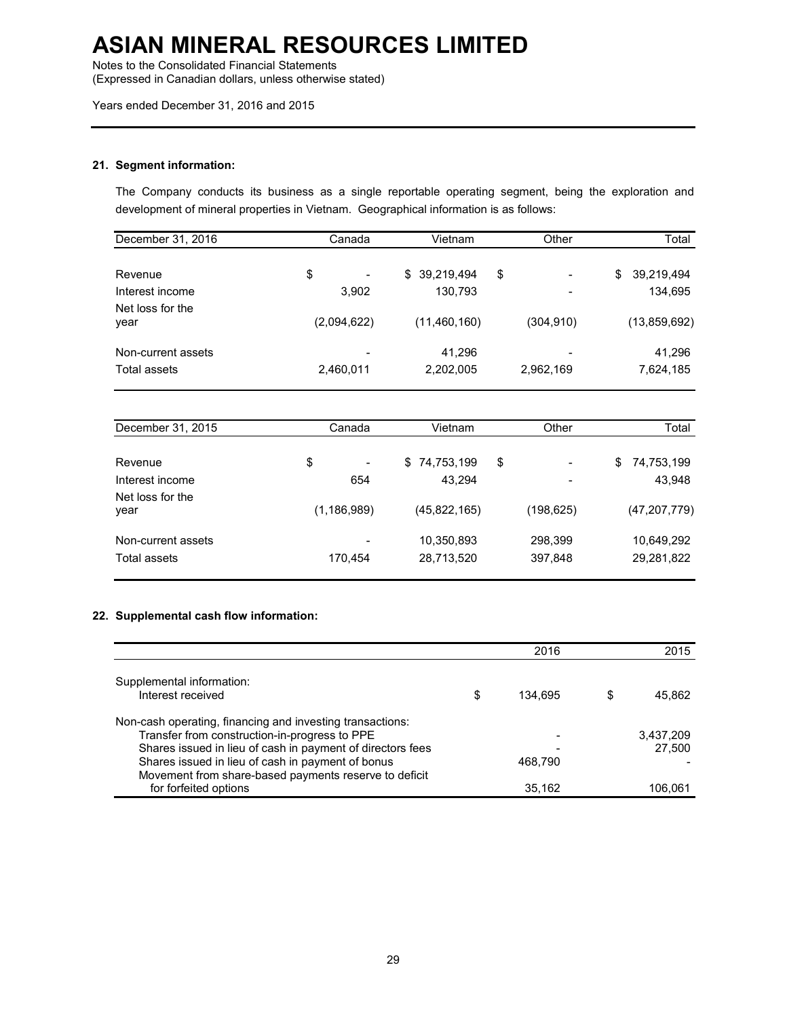Notes to the Consolidated Financial Statements

(Expressed in Canadian dollars, unless otherwise stated)

Years ended December 31, 2016 and 2015

### **21. Segment information:**

The Company conducts its business as a single reportable operating segment, being the exploration and development of mineral properties in Vietnam. Geographical information is as follows:

| December 31, 2016        | Canada        | Vietnam                | Other      | Total            |
|--------------------------|---------------|------------------------|------------|------------------|
|                          |               |                        |            |                  |
| Revenue                  | \$            | 39,219,494<br>\$<br>\$ |            | \$<br>39,219,494 |
| Interest income          | 3,902         | 130,793                |            | 134,695          |
| Net loss for the         |               |                        |            |                  |
| year                     | (2,094,622)   | (11, 460, 160)         | (304, 910) | (13,859,692)     |
| Non-current assets       |               | 41,296                 |            | 41,296           |
| <b>Total assets</b>      | 2,460,011     | 2,202,005              | 2,962,169  | 7,624,185        |
| December 31, 2015        | Canada        | Vietnam                | Other      | Total            |
| Revenue                  | \$            | \$<br>74,753,199<br>\$ |            | 74,753,199<br>\$ |
| Interest income          | 654           | 43,294                 |            | 43,948           |
| Net loss for the<br>year | (1, 186, 989) | (45,822,165)           | (198, 625) | (47, 207, 779)   |
|                          |               |                        |            |                  |
| Non-current assets       |               | 10,350,893             | 298,399    | 10,649,292       |

# **22. Supplemental cash flow information:**

|                                                                                                                                                                                                                                                                                        | 2016          |   | 2015                |
|----------------------------------------------------------------------------------------------------------------------------------------------------------------------------------------------------------------------------------------------------------------------------------------|---------------|---|---------------------|
| Supplemental information:<br>Interest received                                                                                                                                                                                                                                         | \$<br>134.695 | S | 45,862              |
| Non-cash operating, financing and investing transactions:<br>Transfer from construction-in-progress to PPE<br>Shares issued in lieu of cash in payment of directors fees<br>Shares issued in lieu of cash in payment of bonus<br>Movement from share-based payments reserve to deficit | 468.790       |   | 3,437,209<br>27.500 |
| for forfeited options                                                                                                                                                                                                                                                                  | 35.162        |   | 106.061             |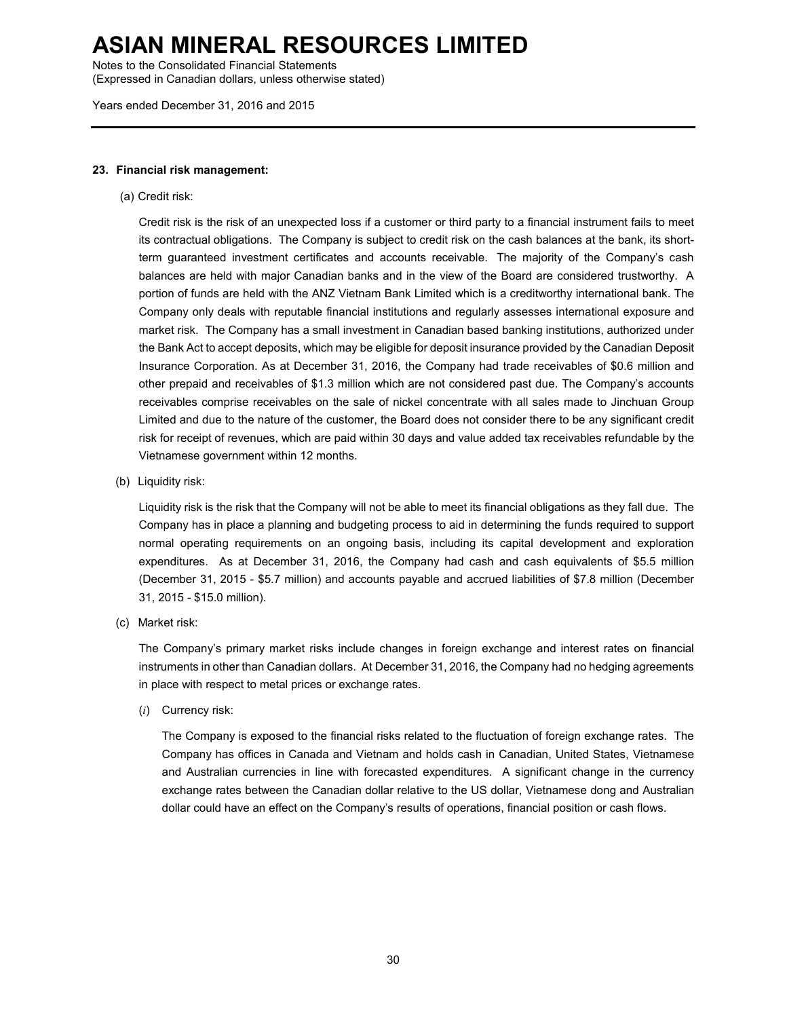Notes to the Consolidated Financial Statements

(Expressed in Canadian dollars, unless otherwise stated)

Years ended December 31, 2016 and 2015

### **23. Financial risk management:**

(a) Credit risk:

Credit risk is the risk of an unexpected loss if a customer or third party to a financial instrument fails to meet its contractual obligations. The Company is subject to credit risk on the cash balances at the bank, its shortterm guaranteed investment certificates and accounts receivable. The majority of the Company's cash balances are held with major Canadian banks and in the view of the Board are considered trustworthy. A portion of funds are held with the ANZ Vietnam Bank Limited which is a creditworthy international bank. The Company only deals with reputable financial institutions and regularly assesses international exposure and market risk. The Company has a small investment in Canadian based banking institutions, authorized under the Bank Act to accept deposits, which may be eligible for deposit insurance provided by the Canadian Deposit Insurance Corporation. As at December 31, 2016, the Company had trade receivables of \$0.6 million and other prepaid and receivables of \$1.3 million which are not considered past due. The Company's accounts receivables comprise receivables on the sale of nickel concentrate with all sales made to Jinchuan Group Limited and due to the nature of the customer, the Board does not consider there to be any significant credit risk for receipt of revenues, which are paid within 30 days and value added tax receivables refundable by the Vietnamese government within 12 months.

(b) Liquidity risk:

Liquidity risk is the risk that the Company will not be able to meet its financial obligations as they fall due. The Company has in place a planning and budgeting process to aid in determining the funds required to support normal operating requirements on an ongoing basis, including its capital development and exploration expenditures. As at December 31, 2016, the Company had cash and cash equivalents of \$5.5 million (December 31, 2015 - \$5.7 million) and accounts payable and accrued liabilities of \$7.8 million (December 31, 2015 - \$15.0 million).

(c) Market risk:

The Company's primary market risks include changes in foreign exchange and interest rates on financial instruments in other than Canadian dollars. At December 31, 2016, the Company had no hedging agreements in place with respect to metal prices or exchange rates.

(*i*) Currency risk:

The Company is exposed to the financial risks related to the fluctuation of foreign exchange rates. The Company has offices in Canada and Vietnam and holds cash in Canadian, United States, Vietnamese and Australian currencies in line with forecasted expenditures. A significant change in the currency exchange rates between the Canadian dollar relative to the US dollar, Vietnamese dong and Australian dollar could have an effect on the Company's results of operations, financial position or cash flows.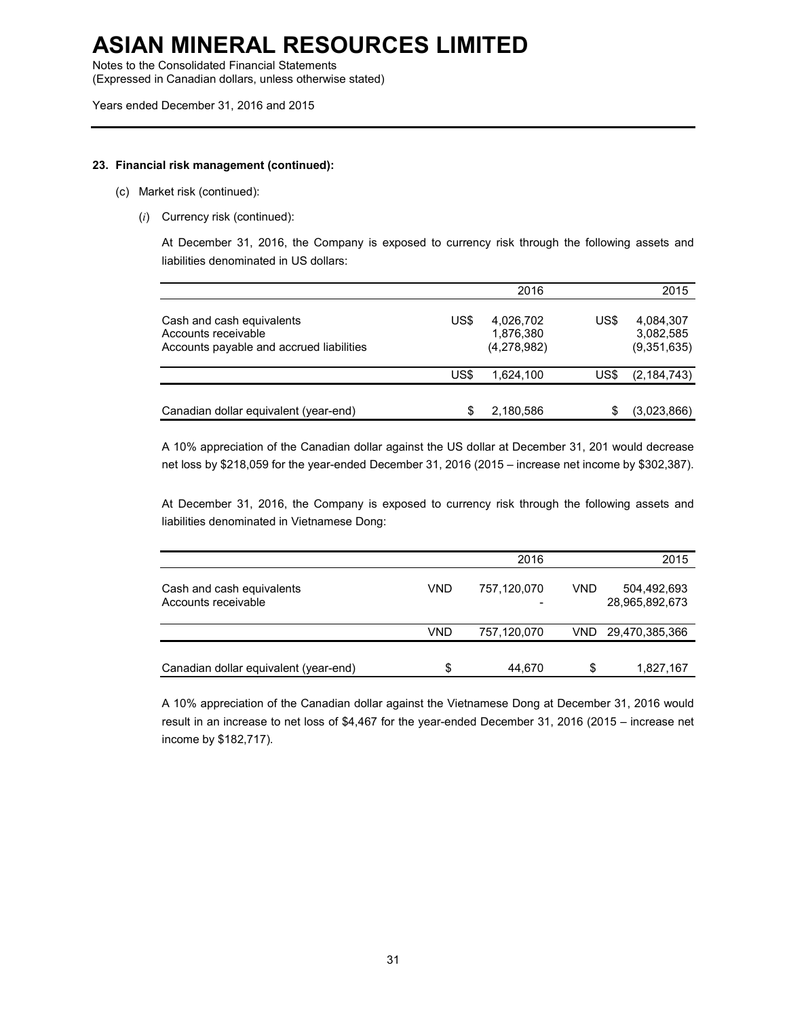Notes to the Consolidated Financial Statements

(Expressed in Canadian dollars, unless otherwise stated)

#### **23. Financial risk management (continued):**

- (c) Market risk (continued):
	- (*i*) Currency risk (continued):

At December 31, 2016, the Company is exposed to currency risk through the following assets and liabilities denominated in US dollars:

|                                                                                              |      | 2016                                  |      | 2015                                  |
|----------------------------------------------------------------------------------------------|------|---------------------------------------|------|---------------------------------------|
| Cash and cash equivalents<br>Accounts receivable<br>Accounts payable and accrued liabilities | US\$ | 4,026,702<br>1,876,380<br>(4,278,982) | US\$ | 4,084,307<br>3,082,585<br>(9,351,635) |
|                                                                                              | US\$ | 1.624.100                             | US\$ | (2, 184, 743)                         |
| Canadian dollar equivalent (year-end)                                                        | S    | 2,180,586                             | S    | (3.023.866)                           |

A 10% appreciation of the Canadian dollar against the US dollar at December 31, 201 would decrease net loss by \$218,059 for the year-ended December 31, 2016 (2015 – increase net income by \$302,387).

At December 31, 2016, the Company is exposed to currency risk through the following assets and liabilities denominated in Vietnamese Dong:

|                                                  |     | 2016        |            | 2015                          |
|--------------------------------------------------|-----|-------------|------------|-------------------------------|
| Cash and cash equivalents<br>Accounts receivable | VND | 757,120,070 | <b>VND</b> | 504,492,693<br>28,965,892,673 |
|                                                  | VND | 757,120,070 |            | VND 29,470,385,366            |
| Canadian dollar equivalent (year-end)            | \$  | 44.670      | S          | 1,827,167                     |

A 10% appreciation of the Canadian dollar against the Vietnamese Dong at December 31, 2016 would result in an increase to net loss of \$4,467 for the year-ended December 31, 2016 (2015 – increase net income by \$182,717).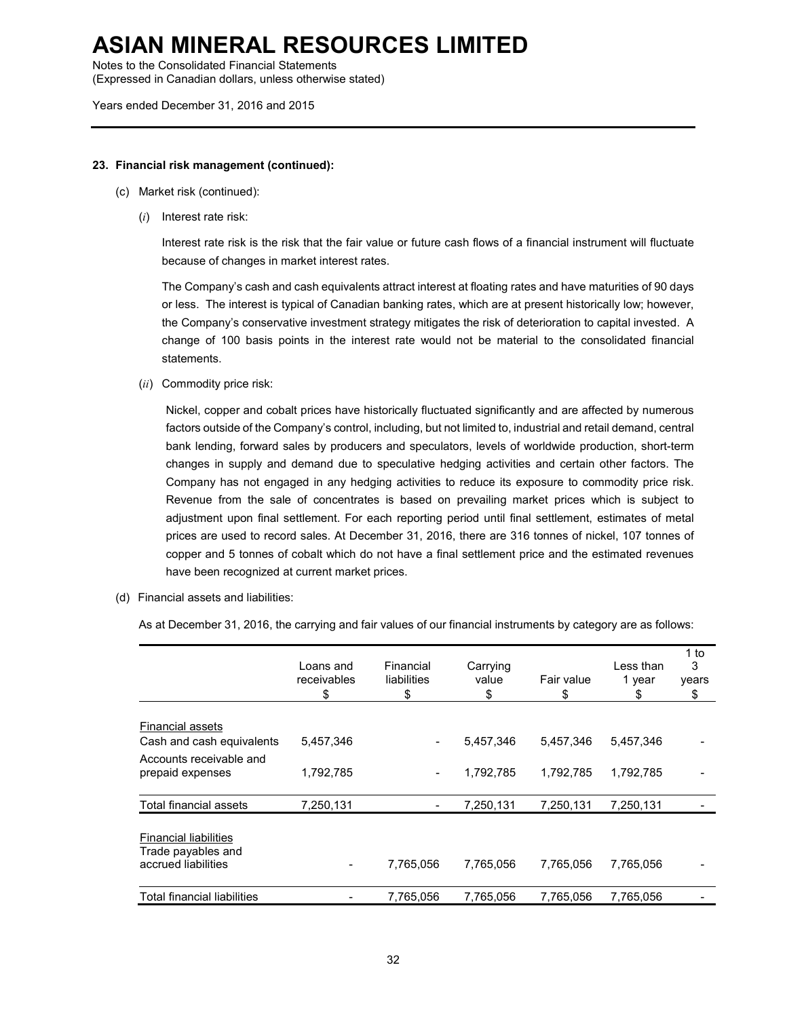Notes to the Consolidated Financial Statements

(Expressed in Canadian dollars, unless otherwise stated)

Years ended December 31, 2016 and 2015

### **23. Financial risk management (continued):**

- (c) Market risk (continued):
	- (*i*) Interest rate risk:

Interest rate risk is the risk that the fair value or future cash flows of a financial instrument will fluctuate because of changes in market interest rates.

The Company's cash and cash equivalents attract interest at floating rates and have maturities of 90 days or less. The interest is typical of Canadian banking rates, which are at present historically low; however, the Company's conservative investment strategy mitigates the risk of deterioration to capital invested. A change of 100 basis points in the interest rate would not be material to the consolidated financial statements.

(*ii*) Commodity price risk:

Nickel, copper and cobalt prices have historically fluctuated significantly and are affected by numerous factors outside of the Company's control, including, but not limited to, industrial and retail demand, central bank lending, forward sales by producers and speculators, levels of worldwide production, short-term changes in supply and demand due to speculative hedging activities and certain other factors. The Company has not engaged in any hedging activities to reduce its exposure to commodity price risk. Revenue from the sale of concentrates is based on prevailing market prices which is subject to adjustment upon final settlement. For each reporting period until final settlement, estimates of metal prices are used to record sales. At December 31, 2016, there are 316 tonnes of nickel, 107 tonnes of copper and 5 tonnes of cobalt which do not have a final settlement price and the estimated revenues have been recognized at current market prices.

(d) Financial assets and liabilities:

As at December 31, 2016, the carrying and fair values of our financial instruments by category are as follows:

|                                                                           | Loans and<br>receivables<br>\$ | Financial<br>liabilities<br>\$ | Carrying<br>value<br>\$ | Fair value<br>\$ | Less than<br>1 year<br>\$ | 1 to<br>3<br>years<br>\$ |
|---------------------------------------------------------------------------|--------------------------------|--------------------------------|-------------------------|------------------|---------------------------|--------------------------|
|                                                                           |                                |                                |                         |                  |                           |                          |
| <b>Financial assets</b>                                                   |                                |                                |                         |                  |                           |                          |
| Cash and cash equivalents                                                 | 5,457,346                      |                                | 5,457,346               | 5,457,346        | 5,457,346                 |                          |
| Accounts receivable and<br>prepaid expenses                               | 1,792,785                      |                                | 1,792,785               | 1,792,785        | 1,792,785                 |                          |
| Total financial assets                                                    | 7,250,131                      |                                | 7,250,131               | 7,250,131        | 7,250,131                 |                          |
| <b>Financial liabilities</b><br>Trade payables and<br>accrued liabilities |                                | 7,765,056                      | 7,765,056               | 7,765,056        | 7,765,056                 |                          |
| Total financial liabilities                                               |                                | 7,765,056                      | 7,765,056               | 7,765,056        | 7,765,056                 |                          |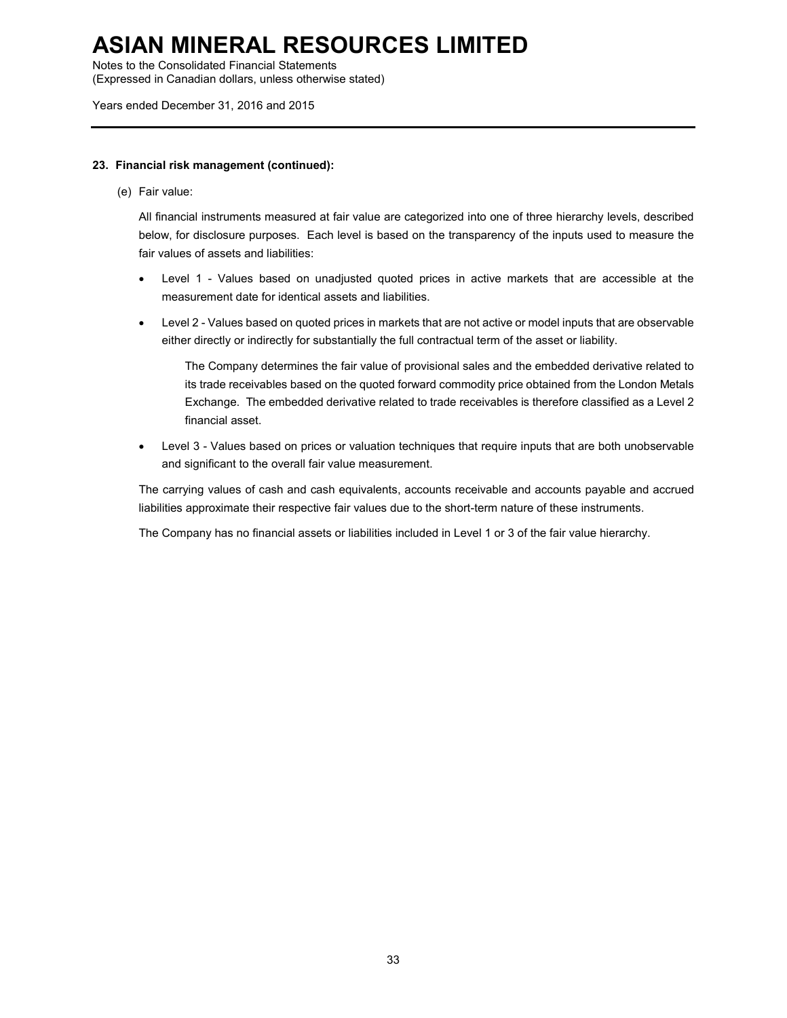Notes to the Consolidated Financial Statements

(Expressed in Canadian dollars, unless otherwise stated)

Years ended December 31, 2016 and 2015

### **23. Financial risk management (continued):**

(e) Fair value:

All financial instruments measured at fair value are categorized into one of three hierarchy levels, described below, for disclosure purposes. Each level is based on the transparency of the inputs used to measure the fair values of assets and liabilities:

- Level 1 Values based on unadjusted quoted prices in active markets that are accessible at the measurement date for identical assets and liabilities.
- Level 2 Values based on quoted prices in markets that are not active or model inputs that are observable either directly or indirectly for substantially the full contractual term of the asset or liability.

The Company determines the fair value of provisional sales and the embedded derivative related to its trade receivables based on the quoted forward commodity price obtained from the London Metals Exchange. The embedded derivative related to trade receivables is therefore classified as a Level 2 financial asset.

• Level 3 - Values based on prices or valuation techniques that require inputs that are both unobservable and significant to the overall fair value measurement.

The carrying values of cash and cash equivalents, accounts receivable and accounts payable and accrued liabilities approximate their respective fair values due to the short-term nature of these instruments.

The Company has no financial assets or liabilities included in Level 1 or 3 of the fair value hierarchy.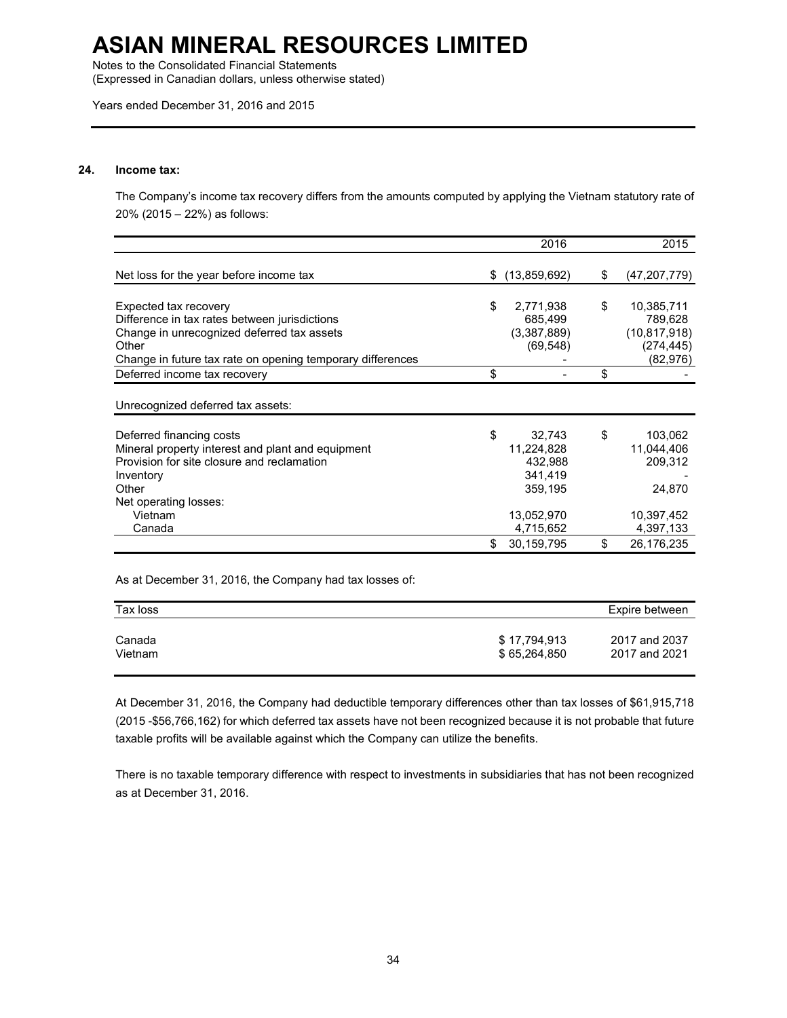Notes to the Consolidated Financial Statements

(Expressed in Canadian dollars, unless otherwise stated)

Years ended December 31, 2016 and 2015

### **24. Income tax:**

The Company's income tax recovery differs from the amounts computed by applying the Vietnam statutory rate of 20% (2015 – 22%) as follows:

|                                                            | 2016               | 2015                 |
|------------------------------------------------------------|--------------------|----------------------|
| Net loss for the year before income tax                    | \$<br>(13,859,692) | \$<br>(47, 207, 779) |
|                                                            |                    |                      |
| Expected tax recovery                                      | \$<br>2,771,938    | \$<br>10,385,711     |
| Difference in tax rates between jurisdictions              | 685,499            | 789,628              |
| Change in unrecognized deferred tax assets                 | (3,387,889)        | (10, 817, 918)       |
| Other                                                      | (69, 548)          | (274, 445)           |
| Change in future tax rate on opening temporary differences |                    | (82, 976)            |
| Deferred income tax recovery                               | \$                 | \$                   |
| Unrecognized deferred tax assets:                          |                    |                      |
| Deferred financing costs                                   | \$<br>32,743       | \$<br>103,062        |
| Mineral property interest and plant and equipment          | 11,224,828         | 11,044,406           |
| Provision for site closure and reclamation                 | 432,988            | 209,312              |
| Inventory                                                  | 341,419            |                      |
| Other                                                      | 359,195            | 24,870               |
| Net operating losses:                                      |                    |                      |
| Vietnam                                                    | 13,052,970         | 10,397,452           |
| Canada                                                     | 4,715,652          | 4,397,133            |
|                                                            | \$<br>30,159,795   | \$<br>26,176,235     |

As at December 31, 2016, the Company had tax losses of:

| Tax loss |              | Expire between |
|----------|--------------|----------------|
| Canada   | \$17,794,913 | 2017 and 2037  |
| Vietnam  | \$65,264,850 | 2017 and 2021  |

At December 31, 2016, the Company had deductible temporary differences other than tax losses of \$61,915,718 (2015 -\$56,766,162) for which deferred tax assets have not been recognized because it is not probable that future taxable profits will be available against which the Company can utilize the benefits.

There is no taxable temporary difference with respect to investments in subsidiaries that has not been recognized as at December 31, 2016.